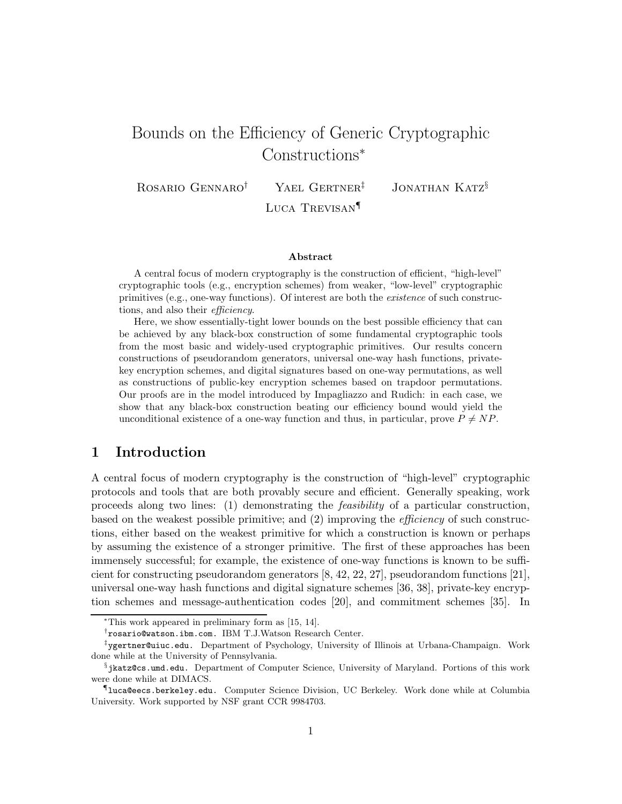# Bounds on the Efficiency of Generic Cryptographic Constructions<sup>∗</sup>

ROSARIO GENNARO<sup>†</sup> YAEL GERTNER<sup>‡</sup> JONATHAN KATZ<sup>§</sup>

Luca Trevisan¶

#### Abstract

A central focus of modern cryptography is the construction of efficient, "high-level" cryptographic tools (e.g., encryption schemes) from weaker, "low-level" cryptographic primitives (e.g., one-way functions). Of interest are both the existence of such constructions, and also their efficiency.

Here, we show essentially-tight lower bounds on the best possible efficiency that can be achieved by any black-box construction of some fundamental cryptographic tools from the most basic and widely-used cryptographic primitives. Our results concern constructions of pseudorandom generators, universal one-way hash functions, privatekey encryption schemes, and digital signatures based on one-way permutations, as well as constructions of public-key encryption schemes based on trapdoor permutations. Our proofs are in the model introduced by Impagliazzo and Rudich: in each case, we show that any black-box construction beating our efficiency bound would yield the unconditional existence of a one-way function and thus, in particular, prove  $P \neq NP$ .

# 1 Introduction

A central focus of modern cryptography is the construction of "high-level" cryptographic protocols and tools that are both provably secure and efficient. Generally speaking, work proceeds along two lines: (1) demonstrating the feasibility of a particular construction, based on the weakest possible primitive; and (2) improving the efficiency of such constructions, either based on the weakest primitive for which a construction is known or perhaps by assuming the existence of a stronger primitive. The first of these approaches has been immensely successful; for example, the existence of one-way functions is known to be sufficient for constructing pseudorandom generators [8, 42, 22, 27], pseudorandom functions [21], universal one-way hash functions and digital signature schemes [36, 38], private-key encryption schemes and message-authentication codes [20], and commitment schemes [35]. In

<sup>∗</sup>This work appeared in preliminary form as [15, 14].

<sup>†</sup> rosario@watson.ibm.com. IBM T.J.Watson Research Center.

<sup>‡</sup> ygertner@uiuc.edu. Department of Psychology, University of Illinois at Urbana-Champaign. Work done while at the University of Pennsylvania.

 $\S$ jkatz@cs.umd.edu. Department of Computer Science, University of Maryland. Portions of this work were done while at DIMACS.

<sup>¶</sup> luca@eecs.berkeley.edu. Computer Science Division, UC Berkeley. Work done while at Columbia University. Work supported by NSF grant CCR 9984703.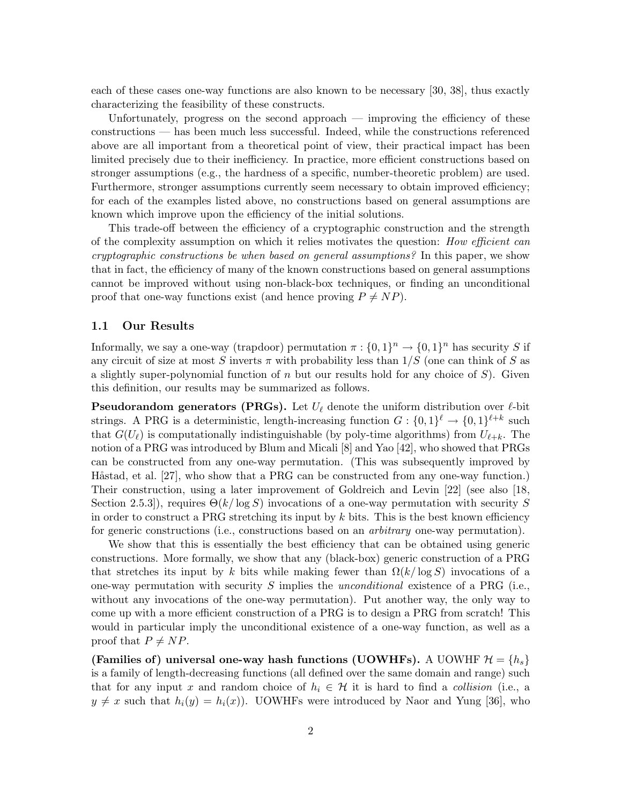each of these cases one-way functions are also known to be necessary [30, 38], thus exactly characterizing the feasibility of these constructs.

Unfortunately, progress on the second approach — improving the efficiency of these constructions — has been much less successful. Indeed, while the constructions referenced above are all important from a theoretical point of view, their practical impact has been limited precisely due to their inefficiency. In practice, more efficient constructions based on stronger assumptions (e.g., the hardness of a specific, number-theoretic problem) are used. Furthermore, stronger assumptions currently seem necessary to obtain improved efficiency; for each of the examples listed above, no constructions based on general assumptions are known which improve upon the efficiency of the initial solutions.

This trade-off between the efficiency of a cryptographic construction and the strength of the complexity assumption on which it relies motivates the question: *How efficient can* cryptographic constructions be when based on general assumptions? In this paper, we show that in fact, the efficiency of many of the known constructions based on general assumptions cannot be improved without using non-black-box techniques, or finding an unconditional proof that one-way functions exist (and hence proving  $P \neq NP$ ).

#### 1.1 Our Results

Informally, we say a one-way (trapdoor) permutation  $\pi : \{0,1\}^n \to \{0,1\}^n$  has security S if any circuit of size at most S inverts  $\pi$  with probability less than  $1/S$  (one can think of S as a slightly super-polynomial function of  $n$  but our results hold for any choice of  $S$ ). Given this definition, our results may be summarized as follows.

**Pseudorandom generators (PRGs).** Let  $U_{\ell}$  denote the uniform distribution over  $\ell$ -bit strings. A PRG is a deterministic, length-increasing function  $G: \{0,1\}^{\ell} \to \{0,1\}^{\ell+k}$  such that  $G(U_\ell)$  is computationally indistinguishable (by poly-time algorithms) from  $U_{\ell+k}$ . The notion of a PRG was introduced by Blum and Micali [8] and Yao [42], who showed that PRGs can be constructed from any one-way permutation. (This was subsequently improved by Håstad, et al.  $[27]$ , who show that a PRG can be constructed from any one-way function.) Their construction, using a later improvement of Goldreich and Levin [22] (see also [18, Section 2.5.3, requires  $\Theta(k/\log S)$  invocations of a one-way permutation with security S in order to construct a PRG stretching its input by  $k$  bits. This is the best known efficiency for generic constructions (i.e., constructions based on an arbitrary one-way permutation).

We show that this is essentially the best efficiency that can be obtained using generic constructions. More formally, we show that any (black-box) generic construction of a PRG that stretches its input by k bits while making fewer than  $\Omega(k/\log S)$  invocations of a one-way permutation with security S implies the unconditional existence of a PRG (i.e., without any invocations of the one-way permutation). Put another way, the only way to come up with a more efficient construction of a PRG is to design a PRG from scratch! This would in particular imply the unconditional existence of a one-way function, as well as a proof that  $P \neq NP$ .

(Families of) universal one-way hash functions (UOWHFs). A UOWHF  $\mathcal{H} = \{h_s\}$ is a family of length-decreasing functions (all defined over the same domain and range) such that for any input x and random choice of  $h_i \in \mathcal{H}$  it is hard to find a collision (i.e., a  $y \neq x$  such that  $h_i(y) = h_i(x)$ . UOWHFs were introduced by Naor and Yung [36], who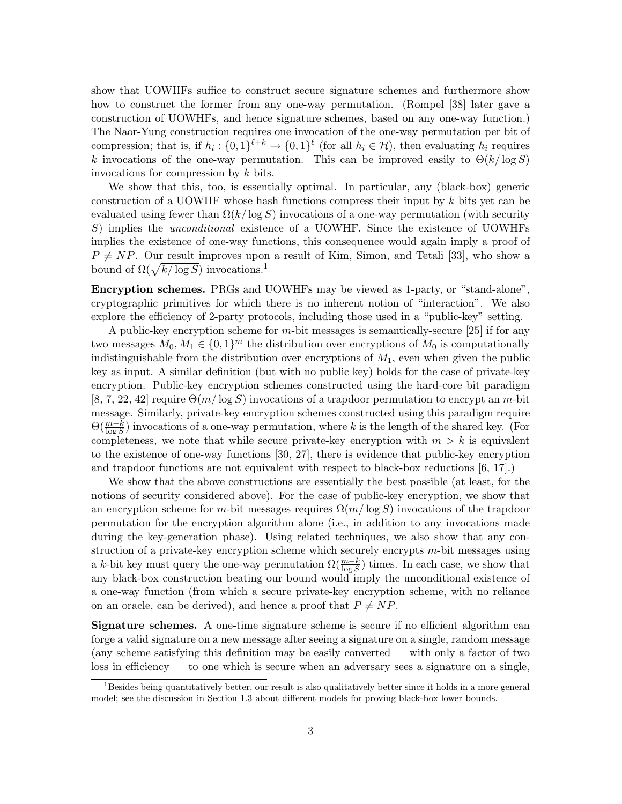show that UOWHFs suffice to construct secure signature schemes and furthermore show how to construct the former from any one-way permutation. (Rompel [38] later gave a construction of UOWHFs, and hence signature schemes, based on any one-way function.) The Naor-Yung construction requires one invocation of the one-way permutation per bit of compression; that is, if  $h_i: \{0,1\}^{\ell+k} \to \{0,1\}^{\ell}$  (for all  $h_i \in \mathcal{H}$ ), then evaluating  $h_i$  requires k invocations of the one-way permutation. This can be improved easily to  $\Theta(k/\log S)$ invocations for compression by k bits.

We show that this, too, is essentially optimal. In particular, any (black-box) generic construction of a UOWHF whose hash functions compress their input by  $k$  bits yet can be evaluated using fewer than  $\Omega(k/\log S)$  invocations of a one-way permutation (with security S) implies the *unconditional* existence of a UOWHF. Since the existence of UOWHFs implies the existence of one-way functions, this consequence would again imply a proof of  $P \neq NP$ . Our result improves upon a result of Kim, Simon, and Tetali [33], who show a bound of  $\Omega(\sqrt{k/\log S})$  invocations.<sup>1</sup>

Encryption schemes. PRGs and UOWHFs may be viewed as 1-party, or "stand-alone", cryptographic primitives for which there is no inherent notion of "interaction". We also explore the efficiency of 2-party protocols, including those used in a "public-key" setting.

A public-key encryption scheme for  $m$ -bit messages is semantically-secure [25] if for any two messages  $M_0, M_1 \in \{0, 1\}^m$  the distribution over encryptions of  $M_0$  is computationally indistinguishable from the distribution over encryptions of  $M_1$ , even when given the public key as input. A similar definition (but with no public key) holds for the case of private-key encryption. Public-key encryption schemes constructed using the hard-core bit paradigm  $[8, 7, 22, 42]$  require  $\Theta(m/\log S)$  invocations of a trapdoor permutation to encrypt an m-bit message. Similarly, private-key encryption schemes constructed using this paradigm require  $\Theta(\frac{m-k}{\log S})$  invocations of a one-way permutation, where k is the length of the shared key. (For completeness, we note that while secure private-key encryption with  $m > k$  is equivalent to the existence of one-way functions [30, 27], there is evidence that public-key encryption and trapdoor functions are not equivalent with respect to black-box reductions  $[6, 17]$ .

We show that the above constructions are essentially the best possible (at least, for the notions of security considered above). For the case of public-key encryption, we show that an encryption scheme for m-bit messages requires  $\Omega(m/\log S)$  invocations of the trapdoor permutation for the encryption algorithm alone (i.e., in addition to any invocations made during the key-generation phase). Using related techniques, we also show that any construction of a private-key encryption scheme which securely encrypts  $m$ -bit messages using a k-bit key must query the one-way permutation  $\Omega(\frac{m-k}{\log S})$  times. In each case, we show that any black-box construction beating our bound would imply the unconditional existence of a one-way function (from which a secure private-key encryption scheme, with no reliance on an oracle, can be derived), and hence a proof that  $P \neq NP$ .

Signature schemes. A one-time signature scheme is secure if no efficient algorithm can forge a valid signature on a new message after seeing a signature on a single, random message (any scheme satisfying this definition may be easily converted — with only a factor of two loss in efficiency — to one which is secure when an adversary sees a signature on a single,

<sup>&</sup>lt;sup>1</sup>Besides being quantitatively better, our result is also qualitatively better since it holds in a more general model; see the discussion in Section 1.3 about different models for proving black-box lower bounds.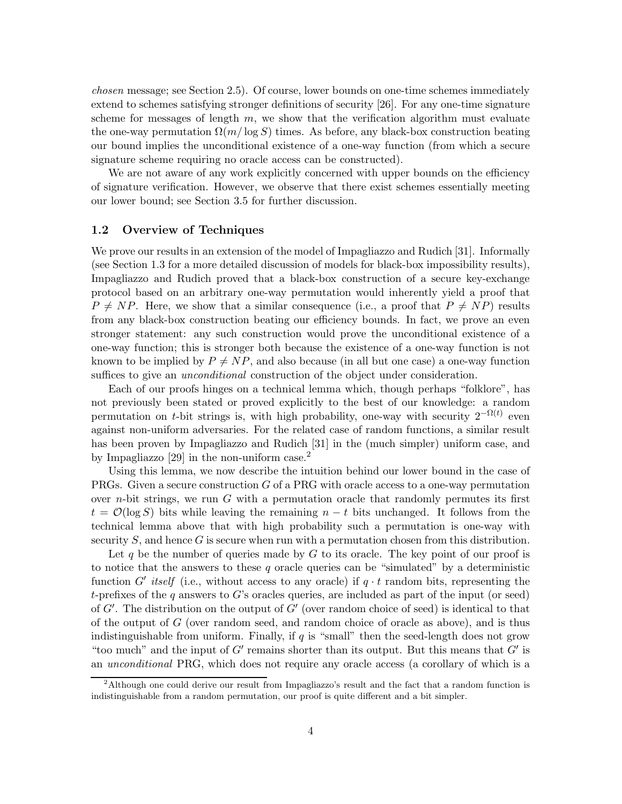chosen message; see Section 2.5). Of course, lower bounds on one-time schemes immediately extend to schemes satisfying stronger definitions of security [26]. For any one-time signature scheme for messages of length  $m$ , we show that the verification algorithm must evaluate the one-way permutation  $\Omega(m/\log S)$  times. As before, any black-box construction beating our bound implies the unconditional existence of a one-way function (from which a secure signature scheme requiring no oracle access can be constructed).

We are not aware of any work explicitly concerned with upper bounds on the efficiency of signature verification. However, we observe that there exist schemes essentially meeting our lower bound; see Section 3.5 for further discussion.

#### 1.2 Overview of Techniques

We prove our results in an extension of the model of Impagliazzo and Rudich [31]. Informally (see Section 1.3 for a more detailed discussion of models for black-box impossibility results), Impagliazzo and Rudich proved that a black-box construction of a secure key-exchange protocol based on an arbitrary one-way permutation would inherently yield a proof that  $P \neq NP$ . Here, we show that a similar consequence (i.e., a proof that  $P \neq NP$ ) results from any black-box construction beating our efficiency bounds. In fact, we prove an even stronger statement: any such construction would prove the unconditional existence of a one-way function; this is stronger both because the existence of a one-way function is not known to be implied by  $P \neq NP$ , and also because (in all but one case) a one-way function suffices to give an *unconditional* construction of the object under consideration.

Each of our proofs hinges on a technical lemma which, though perhaps "folklore", has not previously been stated or proved explicitly to the best of our knowledge: a random permutation on t-bit strings is, with high probability, one-way with security  $2^{-\Omega(t)}$  even against non-uniform adversaries. For the related case of random functions, a similar result has been proven by Impagliazzo and Rudich [31] in the (much simpler) uniform case, and by Impagliazzo [29] in the non-uniform case.<sup>2</sup>

Using this lemma, we now describe the intuition behind our lower bound in the case of PRGs. Given a secure construction  $G$  of a PRG with oracle access to a one-way permutation over *n*-bit strings, we run  $G$  with a permutation oracle that randomly permutes its first  $t = \mathcal{O}(\log S)$  bits while leaving the remaining  $n - t$  bits unchanged. It follows from the technical lemma above that with high probability such a permutation is one-way with security  $S$ , and hence  $G$  is secure when run with a permutation chosen from this distribution.

Let q be the number of queries made by  $G$  to its oracle. The key point of our proof is to notice that the answers to these q oracle queries can be "simulated" by a deterministic function G' itself (i.e., without access to any oracle) if  $q \cdot t$  random bits, representing the t-prefixes of the q answers to G's oracles queries, are included as part of the input (or seed) of  $G'$ . The distribution on the output of  $G'$  (over random choice of seed) is identical to that of the output of  $G$  (over random seed, and random choice of oracle as above), and is thus indistinguishable from uniform. Finally, if q is "small" then the seed-length does not grow "too much" and the input of  $G'$  remains shorter than its output. But this means that  $G'$  is an unconditional PRG, which does not require any oracle access (a corollary of which is a

<sup>&</sup>lt;sup>2</sup>Although one could derive our result from Impagliazzo's result and the fact that a random function is indistinguishable from a random permutation, our proof is quite different and a bit simpler.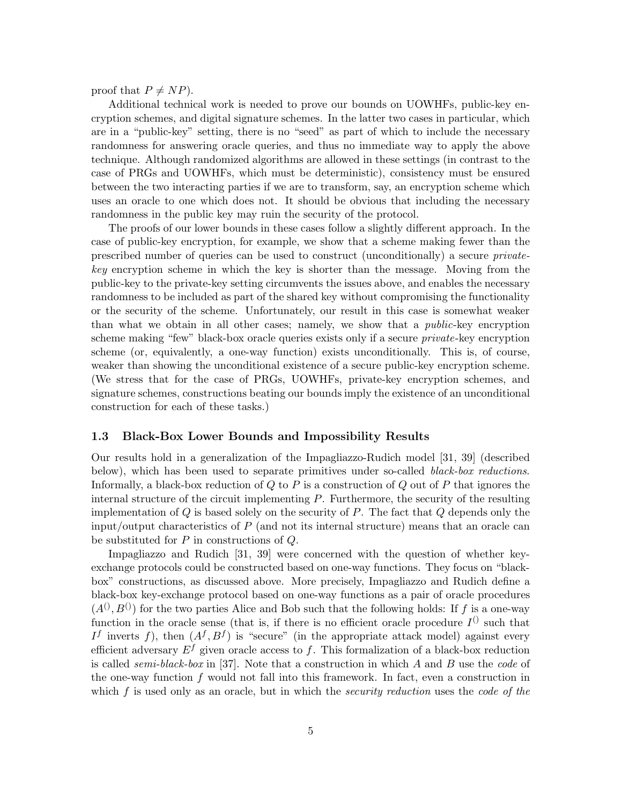proof that  $P \neq NP$ ).

Additional technical work is needed to prove our bounds on UOWHFs, public-key encryption schemes, and digital signature schemes. In the latter two cases in particular, which are in a "public-key" setting, there is no "seed" as part of which to include the necessary randomness for answering oracle queries, and thus no immediate way to apply the above technique. Although randomized algorithms are allowed in these settings (in contrast to the case of PRGs and UOWHFs, which must be deterministic), consistency must be ensured between the two interacting parties if we are to transform, say, an encryption scheme which uses an oracle to one which does not. It should be obvious that including the necessary randomness in the public key may ruin the security of the protocol.

The proofs of our lower bounds in these cases follow a slightly different approach. In the case of public-key encryption, for example, we show that a scheme making fewer than the prescribed number of queries can be used to construct (unconditionally) a secure privatekey encryption scheme in which the key is shorter than the message. Moving from the public-key to the private-key setting circumvents the issues above, and enables the necessary randomness to be included as part of the shared key without compromising the functionality or the security of the scheme. Unfortunately, our result in this case is somewhat weaker than what we obtain in all other cases; namely, we show that a *public-key* encryption scheme making "few" black-box oracle queries exists only if a secure *private*-key encryption scheme (or, equivalently, a one-way function) exists unconditionally. This is, of course, weaker than showing the unconditional existence of a secure public-key encryption scheme. (We stress that for the case of PRGs, UOWHFs, private-key encryption schemes, and signature schemes, constructions beating our bounds imply the existence of an unconditional construction for each of these tasks.)

## 1.3 Black-Box Lower Bounds and Impossibility Results

Our results hold in a generalization of the Impagliazzo-Rudich model [31, 39] (described below), which has been used to separate primitives under so-called black-box reductions. Informally, a black-box reduction of  $Q$  to  $P$  is a construction of  $Q$  out of  $P$  that ignores the internal structure of the circuit implementing  $P$ . Furthermore, the security of the resulting implementation of  $Q$  is based solely on the security of  $P$ . The fact that  $Q$  depends only the input/output characteristics of  $P$  (and not its internal structure) means that an oracle can be substituted for P in constructions of Q.

Impagliazzo and Rudich [31, 39] were concerned with the question of whether keyexchange protocols could be constructed based on one-way functions. They focus on "blackbox" constructions, as discussed above. More precisely, Impagliazzo and Rudich define a black-box key-exchange protocol based on one-way functions as a pair of oracle procedures  $(A^{(1)}, B^{(1)})$  for the two parties Alice and Bob such that the following holds: If f is a one-way function in the oracle sense (that is, if there is no efficient oracle procedure  $I^{()}$  such that If inverts f), then  $(A^f, B^f)$  is "secure" (in the appropriate attack model) against every efficient adversary  $E^f$  given oracle access to f. This formalization of a black-box reduction is called *semi-black-box* in [37]. Note that a construction in which A and B use the *code* of the one-way function  $f$  would not fall into this framework. In fact, even a construction in which  $f$  is used only as an oracle, but in which the *security reduction* uses the *code* of the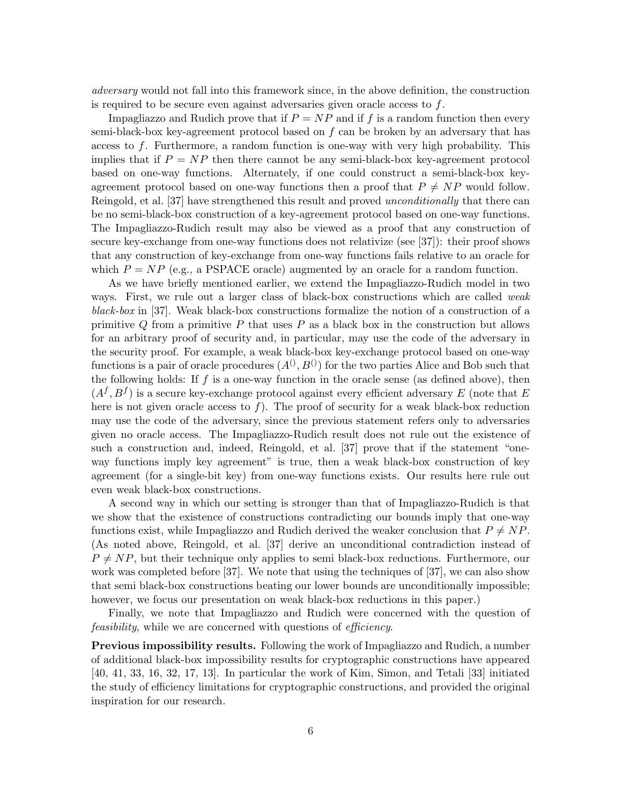adversary would not fall into this framework since, in the above definition, the construction is required to be secure even against adversaries given oracle access to f.

Impagliazzo and Rudich prove that if  $P = NP$  and if f is a random function then every semi-black-box key-agreement protocol based on  $f$  can be broken by an adversary that has access to f. Furthermore, a random function is one-way with very high probability. This implies that if  $P = NP$  then there cannot be any semi-black-box key-agreement protocol based on one-way functions. Alternately, if one could construct a semi-black-box keyagreement protocol based on one-way functions then a proof that  $P \neq NP$  would follow. Reingold, et al. [37] have strengthened this result and proved *unconditionally* that there can be no semi-black-box construction of a key-agreement protocol based on one-way functions. The Impagliazzo-Rudich result may also be viewed as a proof that any construction of secure key-exchange from one-way functions does not relativize (see [37]): their proof shows that any construction of key-exchange from one-way functions fails relative to an oracle for which  $P = NP$  (e.g., a PSPACE oracle) augmented by an oracle for a random function.

As we have briefly mentioned earlier, we extend the Impagliazzo-Rudich model in two ways. First, we rule out a larger class of black-box constructions which are called *weak* black-box in [37]. Weak black-box constructions formalize the notion of a construction of a primitive  $Q$  from a primitive  $P$  that uses  $P$  as a black box in the construction but allows for an arbitrary proof of security and, in particular, may use the code of the adversary in the security proof. For example, a weak black-box key-exchange protocol based on one-way functions is a pair of oracle procedures  $(A^{(0)}, B^{(0)})$  for the two parties Alice and Bob such that the following holds: If  $f$  is a one-way function in the oracle sense (as defined above), then  $(A^f, B^f)$  is a secure key-exchange protocol against every efficient adversary E (note that E here is not given oracle access to  $f$ ). The proof of security for a weak black-box reduction may use the code of the adversary, since the previous statement refers only to adversaries given no oracle access. The Impagliazzo-Rudich result does not rule out the existence of such a construction and, indeed, Reingold, et al. [37] prove that if the statement "oneway functions imply key agreement" is true, then a weak black-box construction of key agreement (for a single-bit key) from one-way functions exists. Our results here rule out even weak black-box constructions.

A second way in which our setting is stronger than that of Impagliazzo-Rudich is that we show that the existence of constructions contradicting our bounds imply that one-way functions exist, while Impagliazzo and Rudich derived the weaker conclusion that  $P \neq NP$ . (As noted above, Reingold, et al. [37] derive an unconditional contradiction instead of  $P \neq NP$ , but their technique only applies to semi black-box reductions. Furthermore, our work was completed before [37]. We note that using the techniques of [37], we can also show that semi black-box constructions beating our lower bounds are unconditionally impossible; however, we focus our presentation on weak black-box reductions in this paper.)

Finally, we note that Impagliazzo and Rudich were concerned with the question of feasibility, while we are concerned with questions of efficiency.

Previous impossibility results. Following the work of Impagliazzo and Rudich, a number of additional black-box impossibility results for cryptographic constructions have appeared [40, 41, 33, 16, 32, 17, 13]. In particular the work of Kim, Simon, and Tetali [33] initiated the study of efficiency limitations for cryptographic constructions, and provided the original inspiration for our research.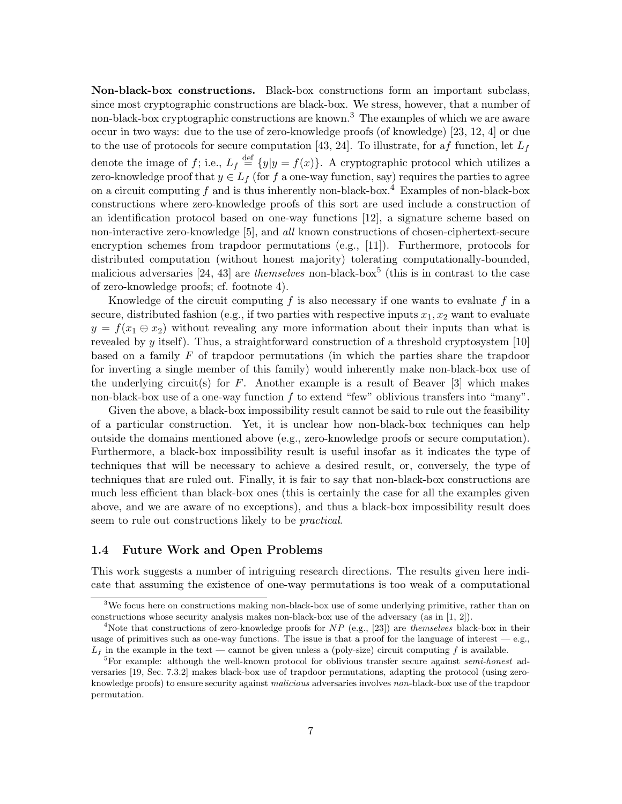Non-black-box constructions. Black-box constructions form an important subclass, since most cryptographic constructions are black-box. We stress, however, that a number of non-black-box cryptographic constructions are known.<sup>3</sup> The examples of which we are aware occur in two ways: due to the use of zero-knowledge proofs (of knowledge) [23, 12, 4] or due to the use of protocols for secure computation [43, 24]. To illustrate, for af function, let  $L_f$ denote the image of f; i.e.,  $L_f \stackrel{\text{def}}{=} \{y|y = f(x)\}\$ . A cryptographic protocol which utilizes a zero-knowledge proof that  $y \in L_f$  (for f a one-way function, say) requires the parties to agree on a circuit computing f and is thus inherently non-black-box.<sup>4</sup> Examples of non-black-box constructions where zero-knowledge proofs of this sort are used include a construction of an identification protocol based on one-way functions [12], a signature scheme based on non-interactive zero-knowledge [5], and all known constructions of chosen-ciphertext-secure encryption schemes from trapdoor permutations (e.g., [11]). Furthermore, protocols for distributed computation (without honest majority) tolerating computationally-bounded, malicious adversaries [24, 43] are *themselves* non-black-box<sup>5</sup> (this is in contrast to the case of zero-knowledge proofs; cf. footnote 4).

Knowledge of the circuit computing  $f$  is also necessary if one wants to evaluate  $f$  in a secure, distributed fashion (e.g., if two parties with respective inputs  $x_1, x_2$  want to evaluate  $y = f(x_1 \oplus x_2)$  without revealing any more information about their inputs than what is revealed by y itself). Thus, a straightforward construction of a threshold cryptosystem  $[10]$ based on a family  $F$  of trapdoor permutations (in which the parties share the trapdoor for inverting a single member of this family) would inherently make non-black-box use of the underlying circuit(s) for  $F$ . Another example is a result of Beaver [3] which makes non-black-box use of a one-way function  $f$  to extend "few" oblivious transfers into "many".

Given the above, a black-box impossibility result cannot be said to rule out the feasibility of a particular construction. Yet, it is unclear how non-black-box techniques can help outside the domains mentioned above (e.g., zero-knowledge proofs or secure computation). Furthermore, a black-box impossibility result is useful insofar as it indicates the type of techniques that will be necessary to achieve a desired result, or, conversely, the type of techniques that are ruled out. Finally, it is fair to say that non-black-box constructions are much less efficient than black-box ones (this is certainly the case for all the examples given above, and we are aware of no exceptions), and thus a black-box impossibility result does seem to rule out constructions likely to be *practical*.

#### 1.4 Future Work and Open Problems

This work suggests a number of intriguing research directions. The results given here indicate that assuming the existence of one-way permutations is too weak of a computational

<sup>&</sup>lt;sup>3</sup>We focus here on constructions making non-black-box use of some underlying primitive, rather than on constructions whose security analysis makes non-black-box use of the adversary (as in [1, 2]).

<sup>&</sup>lt;sup>4</sup>Note that constructions of zero-knowledge proofs for  $NP$  (e.g., [23]) are *themselves* black-box in their usage of primitives such as one-way functions. The issue is that a proof for the language of interest  $-$  e.g.,  $L_f$  in the example in the text — cannot be given unless a (poly-size) circuit computing f is available.

<sup>&</sup>lt;sup>5</sup>For example: although the well-known protocol for oblivious transfer secure against *semi-honest* adversaries [19, Sec. 7.3.2] makes black-box use of trapdoor permutations, adapting the protocol (using zeroknowledge proofs) to ensure security against *malicious* adversaries involves non-black-box use of the trapdoor permutation.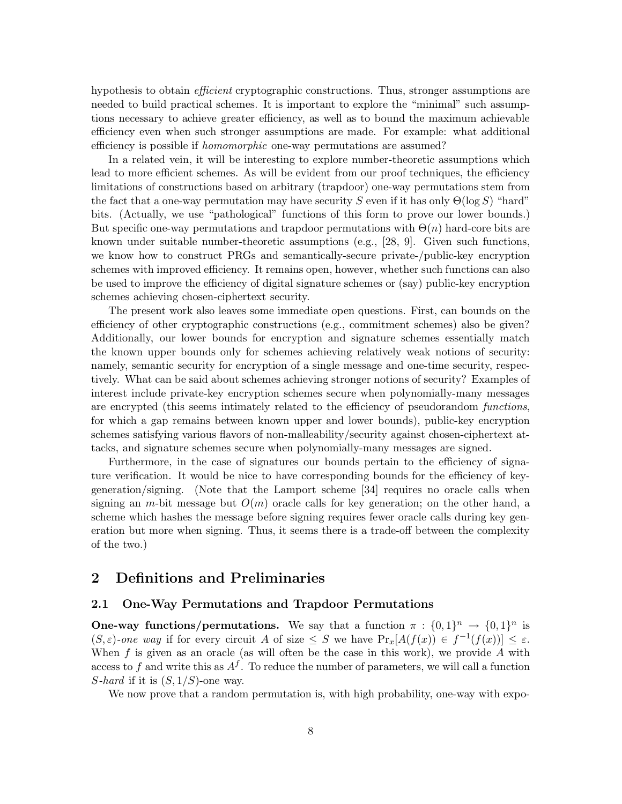hypothesis to obtain *efficient* cryptographic constructions. Thus, stronger assumptions are needed to build practical schemes. It is important to explore the "minimal" such assumptions necessary to achieve greater efficiency, as well as to bound the maximum achievable efficiency even when such stronger assumptions are made. For example: what additional efficiency is possible if *homomorphic* one-way permutations are assumed?

In a related vein, it will be interesting to explore number-theoretic assumptions which lead to more efficient schemes. As will be evident from our proof techniques, the efficiency limitations of constructions based on arbitrary (trapdoor) one-way permutations stem from the fact that a one-way permutation may have security S even if it has only  $\Theta(\log S)$  "hard" bits. (Actually, we use "pathological" functions of this form to prove our lower bounds.) But specific one-way permutations and trapdoor permutations with  $\Theta(n)$  hard-core bits are known under suitable number-theoretic assumptions (e.g., [28, 9]. Given such functions, we know how to construct PRGs and semantically-secure private-/public-key encryption schemes with improved efficiency. It remains open, however, whether such functions can also be used to improve the efficiency of digital signature schemes or (say) public-key encryption schemes achieving chosen-ciphertext security.

The present work also leaves some immediate open questions. First, can bounds on the efficiency of other cryptographic constructions (e.g., commitment schemes) also be given? Additionally, our lower bounds for encryption and signature schemes essentially match the known upper bounds only for schemes achieving relatively weak notions of security: namely, semantic security for encryption of a single message and one-time security, respectively. What can be said about schemes achieving stronger notions of security? Examples of interest include private-key encryption schemes secure when polynomially-many messages are encrypted (this seems intimately related to the efficiency of pseudorandom *functions*, for which a gap remains between known upper and lower bounds), public-key encryption schemes satisfying various flavors of non-malleability/security against chosen-ciphertext attacks, and signature schemes secure when polynomially-many messages are signed.

Furthermore, in the case of signatures our bounds pertain to the efficiency of signature verification. It would be nice to have corresponding bounds for the efficiency of keygeneration/signing. (Note that the Lamport scheme [34] requires no oracle calls when signing an m-bit message but  $O(m)$  oracle calls for key generation; on the other hand, a scheme which hashes the message before signing requires fewer oracle calls during key generation but more when signing. Thus, it seems there is a trade-off between the complexity of the two.)

# 2 Definitions and Preliminaries

#### 2.1 One-Way Permutations and Trapdoor Permutations

**One-way functions/permutations.** We say that a function  $\pi : \{0,1\}^n \to \{0,1\}^n$  is  $(S, \varepsilon)$ -one way if for every circuit A of size  $\leq S$  we have  $Pr_x[A(f(x)) \in f^{-1}(f(x))] \leq \varepsilon$ . When  $f$  is given as an oracle (as will often be the case in this work), we provide  $A$  with access to f and write this as  $A^f$ . To reduce the number of parameters, we will call a function S-hard if it is  $(S, 1/S)$ -one way.

We now prove that a random permutation is, with high probability, one-way with expo-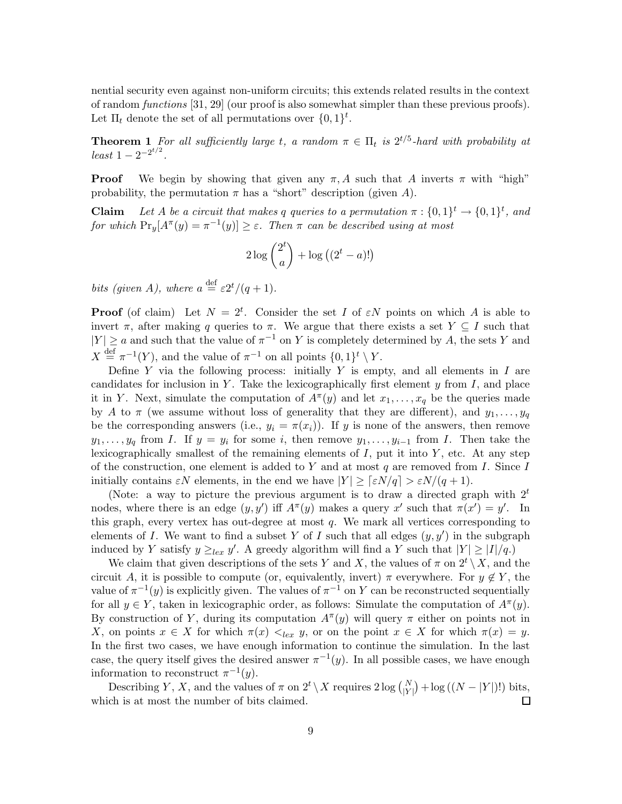nential security even against non-uniform circuits; this extends related results in the context of random functions  $[31, 29]$  (our proof is also somewhat simpler than these previous proofs). Let  $\Pi_t$  denote the set of all permutations over  $\{0,1\}^t$ .

**Theorem 1** For all sufficiently large t, a random  $\pi \in \Pi_t$  is  $2^{t/5}$ -hard with probability at  $least 1-2^{-2^{t/2}}.$ 

**Proof** We begin by showing that given any  $\pi$ , A such that A inverts  $\pi$  with "high" probability, the permutation  $\pi$  has a "short" description (given A).

**Claim** Let A be a circuit that makes q queries to a permutation  $\pi : \{0,1\}^t \to \{0,1\}^t$ , and for which  $Pr_y[A^{\pi}(y) = \pi^{-1}(y)] \ge \varepsilon$ . Then  $\pi$  can be described using at most

$$
2\log\binom{2^t}{a} + \log\left((2^t - a)!\right)
$$

bits (given A), where  $a \stackrel{\text{def}}{=} \varepsilon 2^t/(q+1)$ .

**Proof** (of claim) Let  $N = 2^t$ . Consider the set I of  $\epsilon N$  points on which A is able to invert  $\pi$ , after making q queries to  $\pi$ . We argue that there exists a set  $Y \subseteq I$  such that  $|Y| \ge a$  and such that the value of  $\pi^{-1}$  on Y is completely determined by A, the sets Y and  $X \stackrel{\text{def}}{=} \pi^{-1}(Y)$ , and the value of  $\pi^{-1}$  on all points  $\{0,1\}^t \setminus Y$ .

Define Y via the following process: initially Y is empty, and all elements in  $I$  are candidates for inclusion in Y. Take the lexicographically first element  $y$  from  $I$ , and place it in Y. Next, simulate the computation of  $A^{\pi}(y)$  and let  $x_1, \ldots, x_q$  be the queries made by A to  $\pi$  (we assume without loss of generality that they are different), and  $y_1, \ldots, y_q$ be the corresponding answers (i.e.,  $y_i = \pi(x_i)$ ). If y is none of the answers, then remove  $y_1, \ldots, y_q$  from I. If  $y = y_i$  for some i, then remove  $y_1, \ldots, y_{i-1}$  from I. Then take the lexicographically smallest of the remaining elements of  $I$ , put it into  $Y$ , etc. At any step of the construction, one element is added to Y and at most q are removed from I. Since I initially contains  $\epsilon N$  elements, in the end we have  $|Y| \geq \left[\epsilon N/q\right] > \epsilon N/(q+1)$ .

(Note: a way to picture the previous argument is to draw a directed graph with  $2<sup>t</sup>$ nodes, where there is an edge  $(y, y')$  iff  $A^{\pi}(y)$  makes a query x' such that  $\pi(x') = y'$ . In this graph, every vertex has out-degree at most q. We mark all vertices corresponding to elements of I. We want to find a subset Y of I such that all edges  $(y, y')$  in the subgraph induced by Y satisfy  $y \geq_{lex} y'$ . A greedy algorithm will find a Y such that  $|Y| \geq |I|/q$ .

We claim that given descriptions of the sets Y and X, the values of  $\pi$  on  $2^t \setminus X$ , and the circuit A, it is possible to compute (or, equivalently, invert)  $\pi$  everywhere. For  $y \notin Y$ , the value of  $\pi^{-1}(y)$  is explicitly given. The values of  $\pi^{-1}$  on Y can be reconstructed sequentially for all  $y \in Y$ , taken in lexicographic order, as follows: Simulate the computation of  $A^{\pi}(y)$ . By construction of Y, during its computation  $A^{\pi}(y)$  will query  $\pi$  either on points not in X, on points  $x \in X$  for which  $\pi(x) \leq_{lex} y$ , or on the point  $x \in X$  for which  $\pi(x) = y$ . In the first two cases, we have enough information to continue the simulation. In the last case, the query itself gives the desired answer  $\pi^{-1}(y)$ . In all possible cases, we have enough information to reconstruct  $\pi^{-1}(y)$ .

Describing Y, X, and the values of  $\pi$  on  $2^t \setminus X$  requires  $2 \log {\binom{N}{|Y|}} + \log \left( (N - |Y|)!\right)$  bits, which is at most the number of bits claimed. Π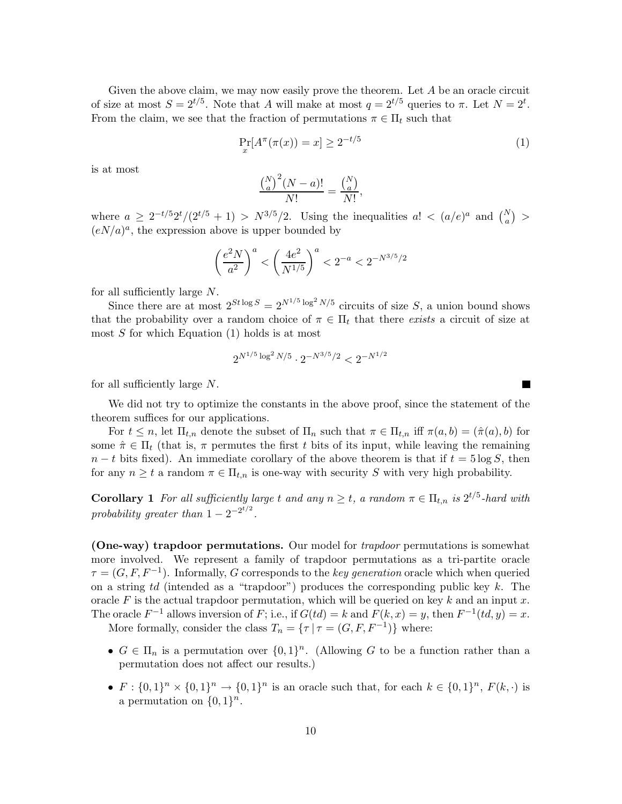Given the above claim, we may now easily prove the theorem. Let A be an oracle circuit of size at most  $S = 2^{t/5}$ . Note that A will make at most  $q = 2^{t/5}$  queries to  $\pi$ . Let  $N = 2^t$ . From the claim, we see that the fraction of permutations  $\pi \in \Pi_t$  such that

$$
\Pr_x[A^\pi(\pi(x)) = x] \ge 2^{-t/5} \tag{1}
$$

**T** 

is at most

$$
\frac{\binom{N}{a}^2 (N-a)!}{N!} = \frac{\binom{N}{a}}{N!},
$$

where  $a \geq 2^{-t/5} 2^t / (2^{t/5} + 1) > N^{3/5} / 2$ . Using the inequalities  $a! < (a/e)^a$  and  $\binom{N}{a} >$  $(eN/a)^a$ , the expression above is upper bounded by

$$
\left(\frac{e^2N}{a^2}\right)^a < \left(\frac{4e^2}{N^{1/5}}\right)^a < 2^{-a} < 2^{-N^{3/5}/2}
$$

for all sufficiently large N.

Since there are at most  $2^{St \log S} = 2^{N^{1/5} \log^2 N/5}$  circuits of size S, a union bound shows that the probability over a random choice of  $\pi \in \Pi_t$  that there exists a circuit of size at most S for which Equation (1) holds is at most

$$
2^{N^{1/5}\log^2 N/5}\cdot 2^{-N^{3/5}/2}<2^{-N^{1/2}}
$$

for all sufficiently large  $N$ .

We did not try to optimize the constants in the above proof, since the statement of the theorem suffices for our applications.

For  $t \leq n$ , let  $\Pi_{t,n}$  denote the subset of  $\Pi_n$  such that  $\pi \in \Pi_{t,n}$  iff  $\pi(a,b) = (\hat{\pi}(a),b)$  for some  $\hat{\pi} \in \Pi_t$  (that is,  $\pi$  permutes the first t bits of its input, while leaving the remaining  $n-t$  bits fixed). An immediate corollary of the above theorem is that if  $t = 5 \log S$ , then for any  $n \geq t$  a random  $\pi \in \Pi_{t,n}$  is one-way with security S with very high probability.

**Corollary 1** For all sufficiently large t and any  $n \geq t$ , a random  $\pi \in \Pi_{t,n}$  is  $2^{t/5}$ -hard with probability greater than  $1 - 2^{-2^{t/2}}$ .

(One-way) trapdoor permutations. Our model for trapdoor permutations is somewhat more involved. We represent a family of trapdoor permutations as a tri-partite oracle  $\tau = (G, F, F^{-1})$ . Informally, G corresponds to the *key generation* oracle which when queried on a string td (intended as a "trapdoor") produces the corresponding public key  $k$ . The oracle F is the actual trapdoor permutation, which will be queried on key k and an input x. The oracle  $F^{-1}$  allows inversion of F; i.e., if  $G(td) = k$  and  $F(k, x) = y$ , then  $F^{-1}(td, y) = x$ .

More formally, consider the class  $T_n = \{ \tau \mid \tau = (G, F, F^{-1}) \}$  where:

- $G \in \Pi_n$  is a permutation over  $\{0,1\}^n$ . (Allowing G to be a function rather than a permutation does not affect our results.)
- $F: \{0,1\}^n \times \{0,1\}^n \to \{0,1\}^n$  is an oracle such that, for each  $k \in \{0,1\}^n$ ,  $F(k, \cdot)$  is a permutation on  $\{0,1\}^n$ .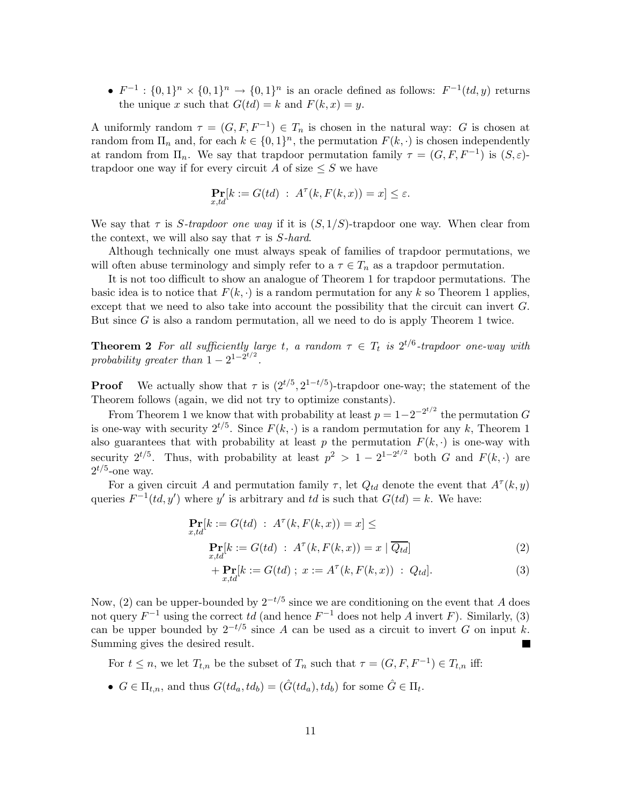•  $F^{-1}: \{0,1\}^n \times \{0,1\}^n \to \{0,1\}^n$  is an oracle defined as follows:  $F^{-1}(td, y)$  returns the unique x such that  $G(td) = k$  and  $F(k, x) = y$ .

A uniformly random  $\tau = (G, F, F^{-1}) \in T_n$  is chosen in the natural way: G is chosen at random from  $\Pi_n$  and, for each  $k \in \{0,1\}^n$ , the permutation  $F(k, \cdot)$  is chosen independently at random from  $\Pi_n$ . We say that trapdoor permutation family  $\tau = (G, F, F^{-1})$  is  $(S, \varepsilon)$ trapdoor one way if for every circuit A of size  $\leq S$  we have

$$
\Pr_{x,td}[k := G(td) \; : \; A^{\tau}(k, F(k, x)) = x] \le \varepsilon.
$$

We say that  $\tau$  is S-trapdoor one way if it is  $(S, 1/S)$ -trapdoor one way. When clear from the context, we will also say that  $\tau$  is *S*-hard.

Although technically one must always speak of families of trapdoor permutations, we will often abuse terminology and simply refer to a  $\tau \in T_n$  as a trapdoor permutation.

It is not too difficult to show an analogue of Theorem 1 for trapdoor permutations. The basic idea is to notice that  $F(k, \cdot)$  is a random permutation for any k so Theorem 1 applies, except that we need to also take into account the possibility that the circuit can invert G. But since  $G$  is also a random permutation, all we need to do is apply Theorem 1 twice.

**Theorem 2** For all sufficiently large t, a random  $\tau \in T_t$  is  $2^{t/6}$ -trapdoor one-way with probability greater than  $1 - 2^{1 - 2^{t/2}}$ .

**Proof** We actually show that  $\tau$  is  $(2^{t/5}, 2^{1-t/5})$ -trapdoor one-way; the statement of the Theorem follows (again, we did not try to optimize constants).

From Theorem 1 we know that with probability at least  $p = 1 - 2^{-2^{t/2}}$  the permutation G is one-way with security  $2^{t/5}$ . Since  $F(k, \cdot)$  is a random permutation for any k, Theorem 1 also guarantees that with probability at least p the permutation  $F(k, \cdot)$  is one-way with security  $2^{t/5}$ . Thus, with probability at least  $p^2 > 1 - 2^{1-2^{t/2}}$  both G and  $F(k, \cdot)$  are  $2^{t/5}$ -one way.

For a given circuit A and permutation family  $\tau$ , let  $Q_{td}$  denote the event that  $A^{\tau}(k, y)$ queries  $F^{-1}(td, y')$  where y' is arbitrary and td is such that  $G(td) = k$ . We have:

$$
\mathbf{Pr}[k := G(td) : A^{\tau}(k, F(k, x)) = x] \le
$$
  
\n
$$
\mathbf{Pr}[k := G(td) : A^{\tau}(k, F(k, x)) = x | \overline{Q_{td}}]
$$
 (2)

+ 
$$
\Pr_{x,td}[k := G(td) \; ; \; x := A^{\tau}(k, F(k, x)) \; : \; Q_{td}].
$$
 (3)

Now, (2) can be upper-bounded by  $2^{-t/5}$  since we are conditioning on the event that A does not query  $F^{-1}$  using the correct td (and hence  $F^{-1}$  does not help A invert F). Similarly, (3) can be upper bounded by  $2^{-t/5}$  since A can be used as a circuit to invert G on input k. Summing gives the desired result.

For  $t \leq n$ , we let  $T_{t,n}$  be the subset of  $T_n$  such that  $\tau = (G, F, F^{-1}) \in T_{t,n}$  iff:

•  $G \in \Pi_{t,n}$ , and thus  $G(td_a, td_b) = (\hat{G}(td_a), td_b)$  for some  $\hat{G} \in \Pi_t$ .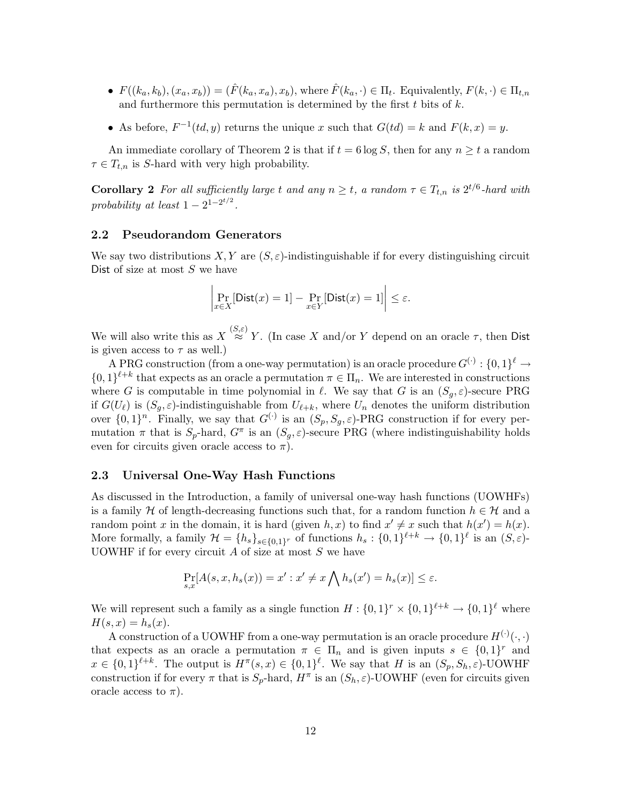- $F((k_a, k_b), (x_a, x_b)) = (\hat{F}(k_a, x_a), x_b)$ , where  $\hat{F}(k_a, \cdot) \in \Pi_t$ . Equivalently,  $F(k, \cdot) \in \Pi_{t,n}$ and furthermore this permutation is determined by the first  $t$  bits of  $k$ .
- As before,  $F^{-1}(td, y)$  returns the unique x such that  $G(td) = k$  and  $F(k, x) = y$ .

An immediate corollary of Theorem 2 is that if  $t = 6 \log S$ , then for any  $n \ge t$  a random  $\tau \in T_{t,n}$  is S-hard with very high probability.

**Corollary 2** For all sufficiently large t and any  $n \geq t$ , a random  $\tau \in T_{t,n}$  is  $2^{t/6}$ -hard with probability at least  $1 - 2^{1 - 2^{t/2}}$ .

### 2.2 Pseudorandom Generators

We say two distributions  $X, Y$  are  $(S, \varepsilon)$ -indistinguishable if for every distinguishing circuit Dist of size at most  $S$  we have

$$
\left| \Pr_{x \in X}[\textsf{Dist}(x) = 1] - \Pr_{x \in Y}[\textsf{Dist}(x) = 1] \right| \le \varepsilon.
$$

We will also write this as  $X \stackrel{(S,\varepsilon)}{\approx} Y$ . (In case X and/or Y depend on an oracle  $\tau$ , then Dist is given access to  $\tau$  as well.)

A PRG construction (from a one-way permutation) is an oracle procedure  $G^{(\cdot)}: \{0,1\}^{\ell} \to$  $\{0,1\}^{\ell+k}$  that expects as an oracle a permutation  $\pi \in \Pi_n$ . We are interested in constructions where G is computable in time polynomial in  $\ell$ . We say that G is an  $(S_q, \varepsilon)$ -secure PRG if  $G(U_\ell)$  is  $(S_q, \varepsilon)$ -indistinguishable from  $U_{\ell+k}$ , where  $U_n$  denotes the uniform distribution over  $\{0,1\}^n$ . Finally, we say that  $G^{(\cdot)}$  is an  $(S_p, S_g, \varepsilon)$ -PRG construction if for every permutation  $\pi$  that is  $S_p$ -hard,  $G^{\pi}$  is an  $(S_g, \varepsilon)$ -secure PRG (where indistinguishability holds even for circuits given oracle access to  $\pi$ ).

#### 2.3 Universal One-Way Hash Functions

As discussed in the Introduction, a family of universal one-way hash functions (UOWHFs) is a family H of length-decreasing functions such that, for a random function  $h \in \mathcal{H}$  and a random point x in the domain, it is hard (given  $h, x$ ) to find  $x' \neq x$  such that  $h(x') = h(x)$ . More formally, a family  $\mathcal{H} = \{h_s\}_{s \in \{0,1\}^r}$  of functions  $h_s: \{0,1\}^{\ell+k} \to \{0,1\}^{\ell}$  is an  $(S,\varepsilon)$ -UOWHF if for every circuit  $A$  of size at most  $S$  we have

$$
\Pr_{s,x}[A(s,x,h_s(x)) = x' : x' \neq x \bigwedge h_s(x') = h_s(x)] \leq \varepsilon.
$$

We will represent such a family as a single function  $H: \{0,1\}^r \times \{0,1\}^{\ell+k} \to \{0,1\}^{\ell}$  where  $H(s, x) = h_s(x)$ .

A construction of a UOWHF from a one-way permutation is an oracle procedure  $H^{(\cdot)}(\cdot,\cdot)$ that expects as an oracle a permutation  $\pi \in \Pi_n$  and is given inputs  $s \in \{0,1\}^r$  and  $x \in \{0,1\}^{\ell+k}$ . The output is  $H^{\pi}(s,x) \in \{0,1\}^{\ell}$ . We say that H is an  $(S_p, S_h, \varepsilon)$ -UOWHF construction if for every  $\pi$  that is  $S_p$ -hard,  $H^{\pi}$  is an  $(S_h, \varepsilon)$ -UOWHF (even for circuits given oracle access to  $\pi$ ).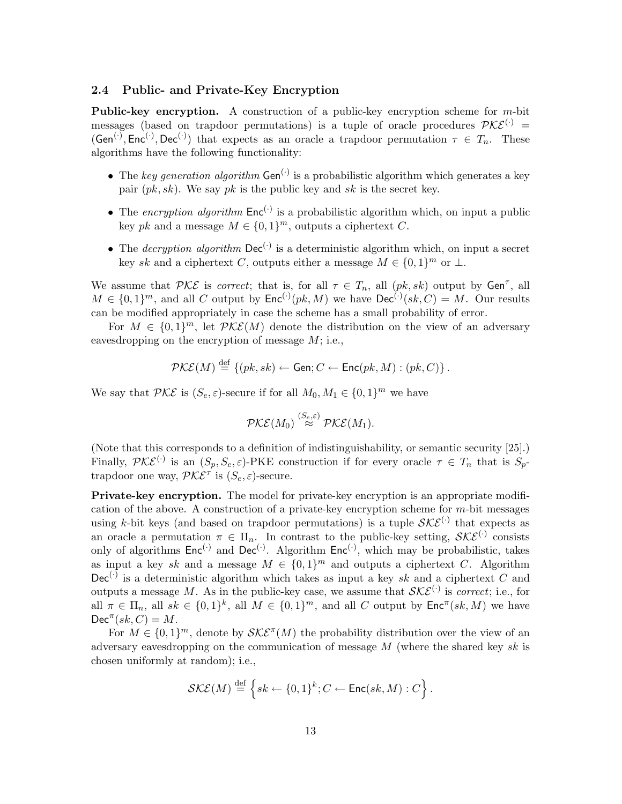#### 2.4 Public- and Private-Key Encryption

**Public-key encryption.** A construction of a public-key encryption scheme for  $m$ -bit messages (based on trapdoor permutations) is a tuple of oracle procedures  $\mathcal{PKE}^{(1)}$  =  $(\mathsf{Gen}^{(\cdot)}, \mathsf{Enc}^{(\cdot)}, \mathsf{Dec}^{(\cdot)})$  that expects as an oracle a trapdoor permutation  $\tau \in T_n$ . These algorithms have the following functionality:

- The key generation algorithm  $Gen^{(\cdot)}$  is a probabilistic algorithm which generates a key pair  $(pk, sk)$ . We say pk is the public key and sk is the secret key.
- The encryption algorithm  $Enc^{(\cdot)}$  is a probabilistic algorithm which, on input a public key pk and a message  $M \in \{0,1\}^m$ , outputs a ciphertext C.
- The *decryption algorithm*  $\text{Dec}^{(\cdot)}$  is a deterministic algorithm which, on input a secret key sk and a ciphertext C, outputs either a message  $M \in \{0,1\}^m$  or  $\perp$ .

We assume that  $\mathcal{PKE}$  is *correct*; that is, for all  $\tau \in T_n$ , all  $(pk, sk)$  output by  $Gen^{\tau}$ , all  $M \in \{0,1\}^m$ , and all C output by  $\mathsf{Enc}^{(\cdot)}(pk, M)$  we have  $\mathsf{Dec}^{(\cdot)}(sk, C) = M$ . Our results can be modified appropriately in case the scheme has a small probability of error.

For  $M \in \{0,1\}^m$ , let  $\mathcal{PKE}(M)$  denote the distribution on the view of an adversary eavesdropping on the encryption of message  $M$ ; i.e.,

$$
\mathcal{PKE}(M) \stackrel{\text{def}}{=} \{ (pk, sk) \leftarrow \mathsf{Gen}; C \leftarrow \mathsf{Enc}(pk, M) : (pk, C) \}.
$$

We say that  $\mathcal{PKE}$  is  $(S_e, \varepsilon)$ -secure if for all  $M_0, M_1 \in \{0, 1\}^m$  we have

$$
\mathcal{PKE}(M_0) \stackrel{(S_e,\varepsilon)}{\approx} \mathcal{PKE}(M_1).
$$

(Note that this corresponds to a definition of indistinguishability, or semantic security [25].) Finally,  $\mathcal{PKE}^{(\cdot)}$  is an  $(S_p, S_e, \varepsilon)$ -PKE construction if for every oracle  $\tau \in T_n$  that is  $S_p$ trapdoor one way,  $\mathcal{P} \mathcal{K} \mathcal{E}^{\tau}$  is  $(S_e, \varepsilon)$ -secure.

**Private-key encryption.** The model for private-key encryption is an appropriate modification of the above. A construction of a private-key encryption scheme for  $m$ -bit messages using k-bit keys (and based on trapdoor permutations) is a tuple  $\mathcal{SKE}^{(.)}$  that expects as an oracle a permutation  $\pi \in \Pi_n$ . In contrast to the public-key setting,  $\mathcal{SKE}^{(\cdot)}$  consists only of algorithms  $Enc^{(\cdot)}$  and  $Dec^{(\cdot)}$ . Algorithm  $Enc^{(\cdot)}$ , which may be probabilistic, takes as input a key sk and a message  $M \in \{0,1\}^m$  and outputs a ciphertext C. Algorithm  $Dec^{(\cdot)}$  is a deterministic algorithm which takes as input a key sk and a ciphertext C and outputs a message M. As in the public-key case, we assume that  $\mathcal{SKE}^{(\cdot)}$  is *correct*; i.e., for all  $\pi \in \Pi_n$ , all  $sk \in \{0,1\}^k$ , all  $M \in \{0,1\}^m$ , and all C output by  $\mathsf{Enc}^{\pi}(sk,M)$  we have  $Dec^{\pi}(sk, C) = M.$ 

For  $M \in \{0,1\}^m$ , denote by  $\mathcal{SKE}^{\pi}(M)$  the probability distribution over the view of an adversary eavesdropping on the communication of message  $M$  (where the shared key sk is chosen uniformly at random); i.e.,

$$
\mathcal{SKE}(M) \stackrel{\text{def}}{=} \left\{ sk \leftarrow \{0,1\}^k; C \leftarrow \mathsf{Enc}(sk,M) : C \right\}.
$$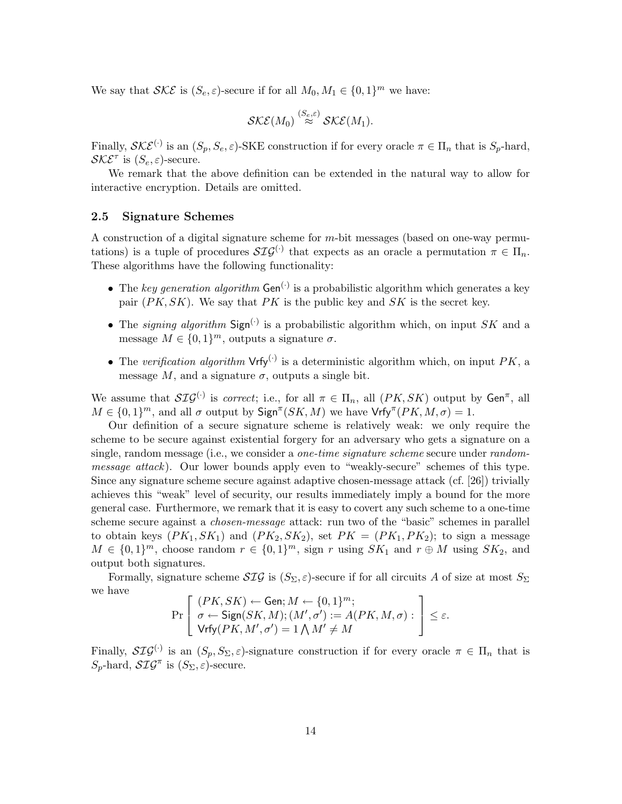We say that  $\mathcal{SKE}$  is  $(S_e, \varepsilon)$ -secure if for all  $M_0, M_1 \in \{0, 1\}^m$  we have:

$$
\mathcal{SKE}(M_0) \stackrel{(S_e,\varepsilon)}{\approx} \mathcal{SKE}(M_1).
$$

Finally,  $\mathcal{SKE}^{(\cdot)}$  is an  $(S_p, S_e, \varepsilon)$ -SKE construction if for every oracle  $\pi \in \Pi_n$  that is  $S_p$ -hard,  $\mathcal{SKE}^{\tau}$  is  $(S_e, \varepsilon)$ -secure.

We remark that the above definition can be extended in the natural way to allow for interactive encryption. Details are omitted.

#### 2.5 Signature Schemes

A construction of a digital signature scheme for m-bit messages (based on one-way permutations) is a tuple of procedures  $\mathcal{SIG}^{(\cdot)}$  that expects as an oracle a permutation  $\pi \in \Pi_n$ . These algorithms have the following functionality:

- The key generation algorithm  $Gen<sup>(.)</sup>$  is a probabilistic algorithm which generates a key pair  $(PK, SK)$ . We say that PK is the public key and SK is the secret key.
- The *signing algorithm* Sign<sup>(.)</sup> is a probabilistic algorithm which, on input SK and a message  $M \in \{0,1\}^m$ , outputs a signature  $\sigma$ .
- The verification algorithm  $Vrfy^{(.)}$  is a deterministic algorithm which, on input PK, a message M, and a signature  $\sigma$ , outputs a single bit.

We assume that  $\mathcal{SIG}^{(\cdot)}$  is *correct*; i.e., for all  $\pi \in \Pi_n$ , all  $(PK, SK)$  output by  $Gen^{\pi}$ , all  $M \in \{0,1\}^m$ , and all  $\sigma$  output by  $\text{Sign}^{\pi}(SK, M)$  we have  $\text{Vrfy}^{\pi}(PK, M, \sigma) = 1$ .

Our definition of a secure signature scheme is relatively weak: we only require the scheme to be secure against existential forgery for an adversary who gets a signature on a single, random message (i.e., we consider a *one-time signature scheme* secure under *random*message attack). Our lower bounds apply even to "weakly-secure" schemes of this type. Since any signature scheme secure against adaptive chosen-message attack (cf. [26]) trivially achieves this "weak" level of security, our results immediately imply a bound for the more general case. Furthermore, we remark that it is easy to covert any such scheme to a one-time scheme secure against a *chosen-message* attack: run two of the "basic" schemes in parallel to obtain keys  $(PK_1, SK_1)$  and  $(PK_2, SK_2)$ , set  $PK = (PK_1, PK_2)$ ; to sign a message  $M \in \{0,1\}^m$ , choose random  $r \in \{0,1\}^m$ , sign r using  $SK_1$  and  $r \oplus M$  using  $SK_2$ , and output both signatures.

Formally, signature scheme  $\mathcal{SIG}$  is  $(S_{\Sigma}, \varepsilon)$ -secure if for all circuits A of size at most  $S_{\Sigma}$ we have

$$
\Pr\left[\begin{array}{l} (PK, SK) \leftarrow \mathsf{Gen} ; M \leftarrow \{0, 1\}^m; \\ \sigma \leftarrow \mathsf{Sign}(SK, M); (M', \sigma') := A(PK, M, \sigma) : \\ \mathsf{Vrfy}(PK, M', \sigma') = 1 \bigwedge M' \neq M \end{array}\right] \leq \varepsilon.
$$

Finally,  $\mathcal{SIG}^{(\cdot)}$  is an  $(S_p, S_\Sigma, \varepsilon)$ -signature construction if for every oracle  $\pi \in \Pi_n$  that is  $S_p$ -hard,  $\mathcal{SIG}^{\pi}$  is  $(S_{\Sigma}, \varepsilon)$ -secure.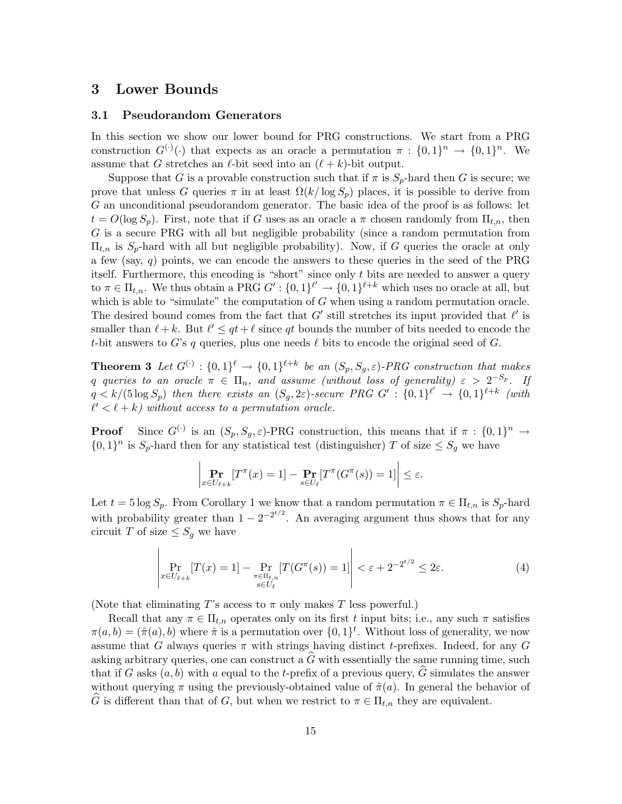## 3 Lower Bounds

#### 3.1 Pseudorandom Generators

In this section we show our lower bound for PRG constructions. We start from a PRG construction  $G^{(\cdot)}(\cdot)$  that expects as an oracle a permutation  $\pi : \{0,1\}^n \to \{0,1\}^n$ . We assume that G stretches an  $\ell$ -bit seed into an  $(\ell + k)$ -bit output.

Suppose that G is a provable construction such that if  $\pi$  is  $S_p$ -hard then G is secure; we prove that unless G queries  $\pi$  in at least  $\Omega(k/\log S_p)$  places, it is possible to derive from G an unconditional pseudorandom generator. The basic idea of the proof is as follows: let  $t = O(\log S_p)$ . First, note that if G uses as an oracle a  $\pi$  chosen randomly from  $\Pi_{t,n}$ , then G is a secure PRG with all but negligible probability (since a random permutation from  $\Pi_{t,n}$  is  $S_p$ -hard with all but negligible probability). Now, if G queries the oracle at only a few (say,  $q$ ) points, we can encode the answers to these queries in the seed of the PRG itself. Furthermore, this encoding is "short" since only  $t$  bits are needed to answer a query to  $\pi \in \Pi_{t,n}$ . We thus obtain a PRG  $G' : \{0,1\}^{\ell'} \to \{0,1\}^{\ell+k}$  which uses no oracle at all, but which is able to "simulate" the computation of  $G$  when using a random permutation oracle. The desired bound comes from the fact that  $G'$  still stretches its input provided that  $\ell'$  is smaller than  $\ell + k$ . But  $\ell' \leq qt + \ell$  since qt bounds the number of bits needed to encode the t-bit answers to G's q queries, plus one needs  $\ell$  bits to encode the original seed of G.

**Theorem 3** Let  $G^{(\cdot)}$  :  $\{0,1\}^{\ell} \rightarrow \{0,1\}^{\ell+k}$  be an  $(S_p, S_g, \varepsilon)$ -PRG construction that makes q queries to an oracle  $\pi$   $\in$   $\Pi_n$ , and assume (without loss of generality)  $\varepsilon$   $>$   $2^{-S_p}$ . If  $q < k/(5 \log S_p)$  then there exists an  $(S_g, 2\varepsilon)$ -secure PRG  $G' : \{0,1\}^{\ell'} \to \{0,1\}^{\ell+k}$  (with  $\ell' < \ell + k$ ) without access to a permutation oracle.

**Proof** Since  $G^{(\cdot)}$  is an  $(S_p, S_g, \varepsilon)$ -PRG construction, this means that if  $\pi : \{0,1\}^n \to$  $\{0,1\}^n$  is  $S_p$ -hard then for any statistical test (distinguisher) T of size  $\leq S_g$  we have

$$
\left| \Pr_{x \in U_{\ell+k}}[T^{\pi}(x) = 1] - \Pr_{s \in U_{\ell}}[T^{\pi}(G^{\pi}(s)) = 1] \right| \le \varepsilon.
$$

Let  $t = 5 \log S_p$ . From Corollary 1 we know that a random permutation  $\pi \in \Pi_{t,n}$  is  $S_p$ -hard with probability greater than  $1 - 2^{-2^{t/2}}$ . An averaging argument thus shows that for any circuit T of size  $\leq S_q$  we have

$$
\left| \Pr_{x \in U_{\ell+k}}[T(x) = 1] - \Pr_{\pi \in \Pi_{t,n}}[T(G^{\pi}(s)) = 1] \right| < \varepsilon + 2^{-2^{t/2}} \le 2\varepsilon.
$$
\n(4)

(Note that eliminating T's access to  $\pi$  only makes T less powerful.)

Recall that any  $\pi \in \Pi_{t,n}$  operates only on its first t input bits; i.e., any such  $\pi$  satisfies  $\pi(a,b) = (\hat{\pi}(a),b)$  where  $\hat{\pi}$  is a permutation over  $\{0,1\}^t$ . Without loss of generality, we now assume that G always queries  $\pi$  with strings having distinct t-prefixes. Indeed, for any G asking arbitrary queries, one can construct a  $\widehat{G}$  with essentially the same running time, such that if G asks  $(a, b)$  with a equal to the t-prefix of a previous query,  $\hat{G}$  simulates the answer without querying  $\pi$  using the previously-obtained value of  $\hat{\pi}(a)$ . In general the behavior of  $\widehat{G}$  is different than that of G, but when we restrict to  $\pi \in \Pi_{t,n}$  they are equivalent.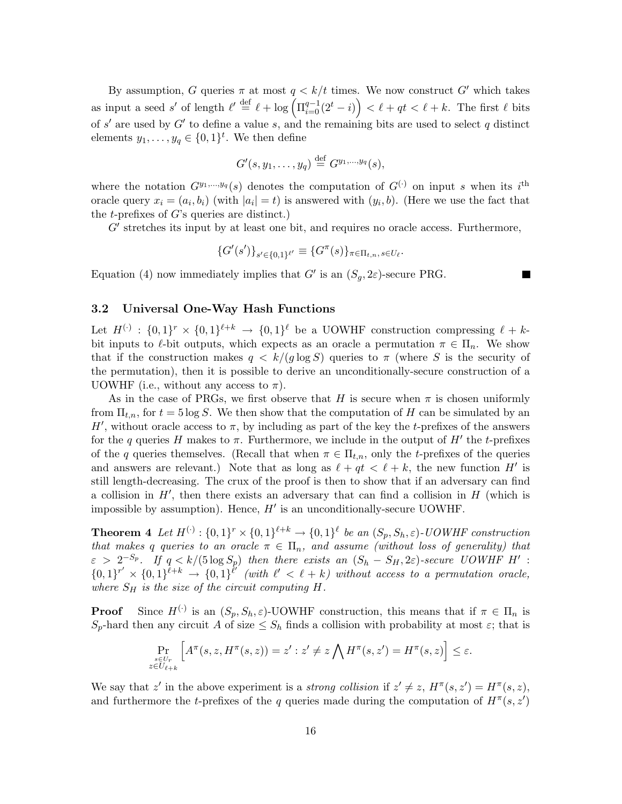By assumption, G queries  $\pi$  at most  $q < k/t$  times. We now construct G' which takes as input a seed s' of length  $\ell' \stackrel{\text{def}}{=} \ell + \log \left( \Pi_{i=0}^{q-1} (2^t - i) \right) < \ell + qt < \ell + k$ . The first  $\ell$  bits of s' are used by  $G'$  to define a value s, and the remaining bits are used to select q distinct elements  $y_1, \ldots, y_q \in \{0,1\}^t$ . We then define

$$
G'(s,y_1,\ldots,y_q)\stackrel{\text{def}}{=} G^{y_1,\ldots,y_q}(s),
$$

where the notation  $G^{y_1,...,y_q}(s)$  denotes the computation of  $G^{(\cdot)}$  on input s when its i<sup>th</sup> oracle query  $x_i = (a_i, b_i)$  (with  $|a_i| = t$ ) is answered with  $(y_i, b)$ . (Here we use the fact that the *t*-prefixes of  $G$ 's queries are distinct.)

G' stretches its input by at least one bit, and requires no oracle access. Furthermore,

$$
\{G'(s')\}_{s'\in\{0,1\}^{\ell'}} \equiv \{G^\pi(s)\}_{\pi \in \Pi_{t,n}}, s \in U_\ell.
$$

a sa

Equation (4) now immediately implies that  $G'$  is an  $(S_g, 2\varepsilon)$ -secure PRG.

## 3.2 Universal One-Way Hash Functions

Let  $H^{(\cdot)}: \{0,1\}^r \times \{0,1\}^{\ell+k} \to \{0,1\}^{\ell}$  be a UOWHF construction compressing  $\ell + k$ bit inputs to  $\ell$ -bit outputs, which expects as an oracle a permutation  $\pi \in \Pi_n$ . We show that if the construction makes  $q < k/(q \log S)$  queries to  $\pi$  (where S is the security of the permutation), then it is possible to derive an unconditionally-secure construction of a UOWHF (i.e., without any access to  $\pi$ ).

As in the case of PRGs, we first observe that H is secure when  $\pi$  is chosen uniformly from  $\Pi_{t,n}$ , for  $t = 5 \log S$ . We then show that the computation of H can be simulated by an H', without oracle access to  $\pi$ , by including as part of the key the t-prefixes of the answers for the q queries H makes to  $\pi$ . Furthermore, we include in the output of H' the t-prefixes of the q queries themselves. (Recall that when  $\pi \in \Pi_{t,n}$ , only the t-prefixes of the queries and answers are relevant.) Note that as long as  $\ell + qt < \ell + k$ , the new function H' is still length-decreasing. The crux of the proof is then to show that if an adversary can find a collision in  $H'$ , then there exists an adversary that can find a collision in  $H$  (which is impossible by assumption). Hence,  $H'$  is an unconditionally-secure UOWHF.

**Theorem 4** Let  $H^{(\cdot)}: \{0,1\}^r \times \{0,1\}^{\ell+k} \to \{0,1\}^{\ell}$  be an  $(S_p, S_h, \varepsilon)$ -UOWHF construction that makes q queries to an oracle  $\pi \in \Pi_n$ , and assume (without loss of generality) that  $\varepsilon > 2^{-S_p}$ . If  $q < k/(5 \log S_p)$  then there exists an  $(S_h - S_H, 2\varepsilon)$ -secure UOWHF H':  ${0,1}^{r'} \times {0,1}^{\overline{\ell}+k} \rightarrow {0,1}^{\overline{\ell}'}$  (with  $\ell' < \ell + k$ ) without access to a permutation oracle, where  $S_H$  is the size of the circuit computing  $H$ .

**Proof** Since  $H^{(\cdot)}$  is an  $(S_p, S_h, \varepsilon)$ -UOWHF construction, this means that if  $\pi \in \Pi_n$  is  $S_p$ -hard then any circuit A of size  $\leq S_h$  finds a collision with probability at most  $\varepsilon$ ; that is

$$
\Pr_{\substack{s \in U_r \\ z \in U_{\ell+k}}} \left[ A^{\pi}(s, z, H^{\pi}(s, z)) = z' : z' \neq z \bigwedge H^{\pi}(s, z') = H^{\pi}(s, z) \right] \leq \varepsilon.
$$

We say that z' in the above experiment is a *strong collision* if  $z' \neq z$ ,  $H^{\pi}(s, z') = H^{\pi}(s, z)$ , and furthermore the t-prefixes of the q queries made during the computation of  $H^{\pi}(s, z')$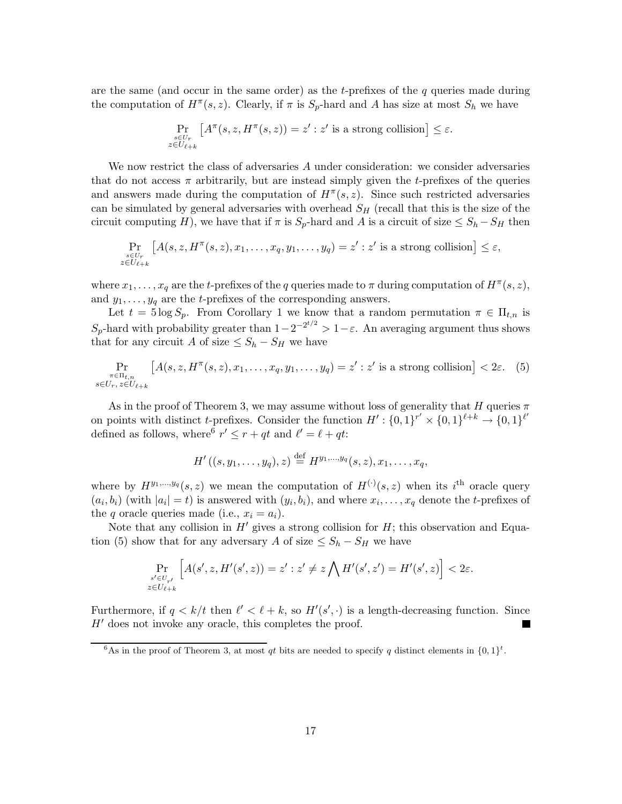are the same (and occur in the same order) as the t-prefixes of the  $q$  queries made during the computation of  $H^{\pi}(s, z)$ . Clearly, if  $\pi$  is  $S_p$ -hard and A has size at most  $S_h$  we have

$$
\Pr_{\substack{s \in U_r \\ z \in U_{\ell+k}}} \left[ A^{\pi}(s, z, H^{\pi}(s, z)) = z' : z' \text{ is a strong collision} \right] \le \varepsilon.
$$

We now restrict the class of adversaries A under consideration: we consider adversaries that do not access  $\pi$  arbitrarily, but are instead simply given the t-prefixes of the queries and answers made during the computation of  $H^{\pi}(s, z)$ . Since such restricted adversaries can be simulated by general adversaries with overhead  $S_H$  (recall that this is the size of the circuit computing H), we have that if  $\pi$  is  $S_p$ -hard and A is a circuit of size  $\leq S_h - S_H$  then

$$
\Pr_{\substack{s \in U_r \\ z \in U_{\ell+k}}} [A(s, z, H^{\pi}(s, z), x_1, \dots, x_q, y_1, \dots, y_q) = z' : z' \text{ is a strong collision}] \leq \varepsilon,
$$

where  $x_1, \ldots, x_q$  are the t-prefixes of the q queries made to  $\pi$  during computation of  $H^{\pi}(s, z)$ , and  $y_1, \ldots, y_q$  are the *t*-prefixes of the corresponding answers.

Let  $t = 5 \log S_p$ . From Corollary 1 we know that a random permutation  $\pi \in \Pi_{t,n}$  is  $S_p$ -hard with probability greater than  $1-2^{-2^{t/2}} > 1-\varepsilon$ . An averaging argument thus shows that for any circuit A of size  $\leq S_h - S_H$  we have

$$
\Pr_{\substack{\pi \in \Pi_{t,n} \\ s \in U_r, z \in U_{\ell+k}}} \left[ A(s, z, H^{\pi}(s, z), x_1, \dots, x_q, y_1, \dots, y_q) = z' : z' \text{ is a strong collision} \right] < 2\varepsilon. \tag{5}
$$

As in the proof of Theorem 3, we may assume without loss of generality that H queries  $\pi$ on points with distinct *t*-prefixes. Consider the function  $H'$ :  $\{0,1\}^{r'} \times \{0,1\}^{\ell+k} \to \{0,1\}^{\ell'}$ defined as follows, where  $r' \leq r + qt$  and  $\ell' = \ell + qt$ :

$$
H'((s, y_1, \ldots, y_q), z) \stackrel{\text{def}}{=} H^{y_1, \ldots, y_q}(s, z), x_1, \ldots, x_q,
$$

where by  $H^{y_1,...,y_q}(s, z)$  we mean the computation of  $H^{(\cdot)}(s, z)$  when its i<sup>th</sup> oracle query  $(a_i, b_i)$  (with  $|a_i| = t$ ) is answered with  $(y_i, b_i)$ , and where  $x_i, \ldots, x_q$  denote the *t*-prefixes of the q oracle queries made (i.e.,  $x_i = a_i$ ).

Note that any collision in  $H'$  gives a strong collision for  $H$ ; this observation and Equation (5) show that for any adversary A of size  $\leq S_h - S_H$  we have

$$
\Pr_{\substack{s' \in U_{r'} \\ z \in U_{\ell+k}}} \left[ A(s', z, H'(s', z)) = z' : z' \neq z \bigwedge H'(s', z') = H'(s', z) \right] < 2\varepsilon.
$$

Furthermore, if  $q < k/t$  then  $\ell' < \ell + k$ , so  $H'(s', \cdot)$  is a length-decreasing function. Since  $H'$  does not invoke any oracle, this completes the proof.

<sup>&</sup>lt;sup>6</sup>As in the proof of Theorem 3, at most qt bits are needed to specify q distinct elements in  $\{0,1\}^t$ .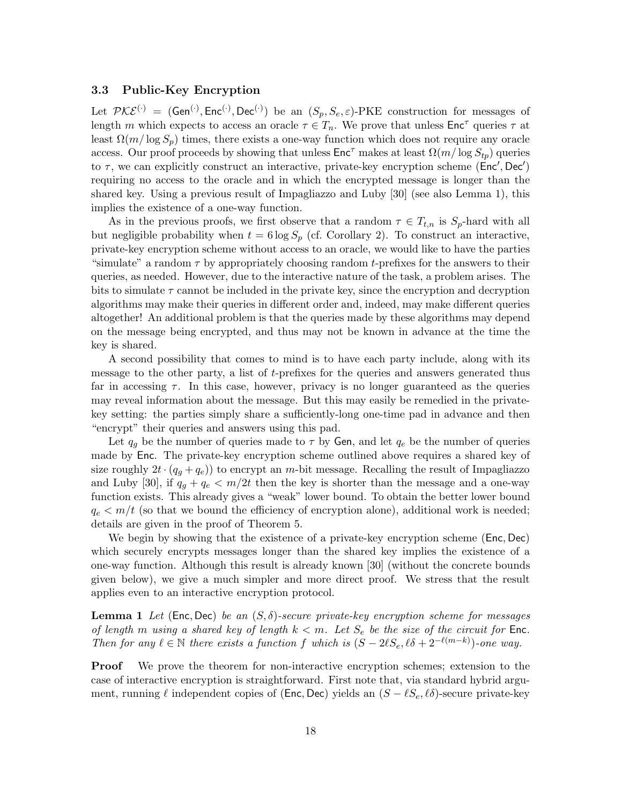#### 3.3 Public-Key Encryption

Let  $\mathcal{PKE}^{(\cdot)} = (\mathsf{Gen}^{(\cdot)}, \mathsf{Enc}^{(\cdot)}, \mathsf{Dec}^{(\cdot)})$  be an  $(S_p, S_e, \varepsilon)$ -PKE construction for messages of length m which expects to access an oracle  $\tau \in T_n$ . We prove that unless  $\mathsf{Enc}^\tau$  queries  $\tau$  at least  $\Omega(m/\log S_p)$  times, there exists a one-way function which does not require any oracle access. Our proof proceeds by showing that unless  $\text{Enc}^{\tau}$  makes at least  $\Omega(m/\log S_{tp})$  queries to  $\tau$ , we can explicitly construct an interactive, private-key encryption scheme ( $Enc', Dec'$ ) requiring no access to the oracle and in which the encrypted message is longer than the shared key. Using a previous result of Impagliazzo and Luby [30] (see also Lemma 1), this implies the existence of a one-way function.

As in the previous proofs, we first observe that a random  $\tau \in T_{t,n}$  is  $S_p$ -hard with all but negligible probability when  $t = 6 \log S_p$  (cf. Corollary 2). To construct an interactive, private-key encryption scheme without access to an oracle, we would like to have the parties "simulate" a random  $\tau$  by appropriately choosing random t-prefixes for the answers to their queries, as needed. However, due to the interactive nature of the task, a problem arises. The bits to simulate  $\tau$  cannot be included in the private key, since the encryption and decryption algorithms may make their queries in different order and, indeed, may make different queries altogether! An additional problem is that the queries made by these algorithms may depend on the message being encrypted, and thus may not be known in advance at the time the key is shared.

A second possibility that comes to mind is to have each party include, along with its message to the other party, a list of t-prefixes for the queries and answers generated thus far in accessing  $\tau$ . In this case, however, privacy is no longer guaranteed as the queries may reveal information about the message. But this may easily be remedied in the privatekey setting: the parties simply share a sufficiently-long one-time pad in advance and then "encrypt" their queries and answers using this pad.

Let  $q_q$  be the number of queries made to  $\tau$  by Gen, and let  $q_e$  be the number of queries made by Enc. The private-key encryption scheme outlined above requires a shared key of size roughly  $2t \cdot (q_q + q_e)$  to encrypt an m-bit message. Recalling the result of Impagliazzo and Luby [30], if  $q_q + q_e < m/2t$  then the key is shorter than the message and a one-way function exists. This already gives a "weak" lower bound. To obtain the better lower bound  $q_e < m/t$  (so that we bound the efficiency of encryption alone), additional work is needed; details are given in the proof of Theorem 5.

We begin by showing that the existence of a private-key encryption scheme (Enc, Dec) which securely encrypts messages longer than the shared key implies the existence of a one-way function. Although this result is already known [30] (without the concrete bounds given below), we give a much simpler and more direct proof. We stress that the result applies even to an interactive encryption protocol.

**Lemma 1** Let (Enc, Dec) be an  $(S, \delta)$ -secure private-key encryption scheme for messages of length m using a shared key of length  $k < m$ . Let  $S_e$  be the size of the circuit for Enc. Then for any  $\ell \in \mathbb{N}$  there exists a function f which is  $(S - 2\ell S_e, \ell \delta + 2^{-\ell(m-k)})$ -one way.

**Proof** We prove the theorem for non-interactive encryption schemes; extension to the case of interactive encryption is straightforward. First note that, via standard hybrid argument, running  $\ell$  independent copies of (Enc, Dec) yields an  $(S - \ell S_e, \ell \delta)$ -secure private-key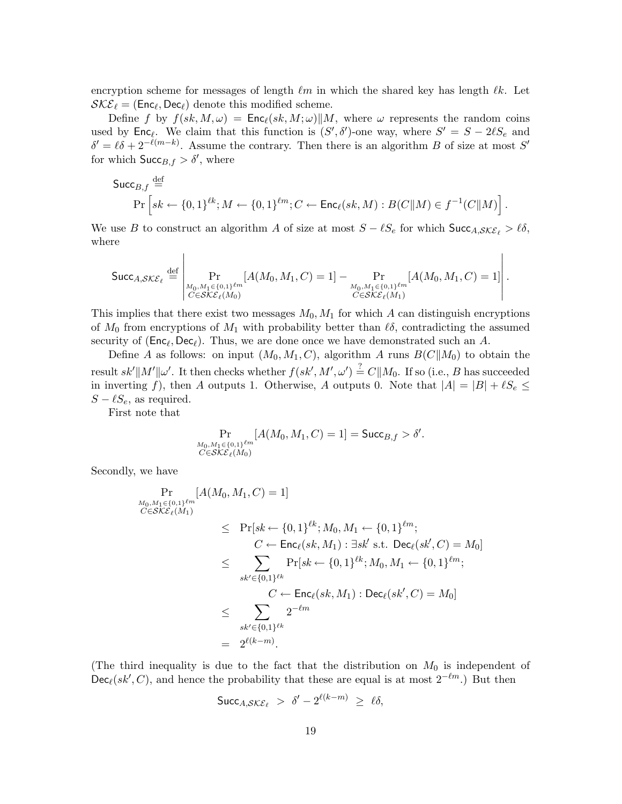encryption scheme for messages of length  $\ell m$  in which the shared key has length  $\ell k$ . Let  $\mathcal{SKE}_{\ell} = (\mathsf{Enc}_{\ell}, \mathsf{Dec}_{\ell})$  denote this modified scheme.

Define f by  $f(sk, M, \omega) = \text{Enc}_{\ell}(sk, M; \omega) || M$ , where  $\omega$  represents the random coins used by  $\textsf{Enc}_{\ell}$ . We claim that this function is  $(S', \delta')$ -one way, where  $S' = S - 2\ell S_e$  and  $\delta' = \ell \delta + 2^{-\ell(m-k)}$ . Assume the contrary. Then there is an algorithm B of size at most S' for which  $\textsf{Succ}_{B,f} > \delta'$ , where

$$
\begin{aligned}\n\mathsf{Succ}_{B,f} & \stackrel{\text{def}}{=} \\
\Pr\left[sk \leftarrow \{0,1\}^{\ell k}; M \leftarrow \{0,1\}^{\ell m}; C \leftarrow \mathsf{Enc}_{\ell}(sk, M) : B(C||M) \in f^{-1}(C||M)\right].\n\end{aligned}
$$

We use B to construct an algorithm A of size at most  $S - \ell S_e$  for which  $\text{Succ}_{A, \mathcal{SKE}_\ell} > \ell \delta$ , where

$$
\text{Succ}_{A, \mathcal{SKE}_{\ell}} \stackrel{\text{def}}{=} \left| \Pr_{\substack{M_0, M_1 \in \{0, 1\}^{\ell m} \\ C \in \mathcal{SKE}_{\ell}(M_0)}} [A(M_0, M_1, C) = 1] - \Pr_{\substack{M_0, M_1 \in \{0, 1\}^{\ell m} \\ C \in \mathcal{SKE}_{\ell}(M_1)}} [A(M_0, M_1, C) = 1] \right|.
$$

This implies that there exist two messages  $M_0$ ,  $M_1$  for which A can distinguish encryptions of  $M_0$  from encryptions of  $M_1$  with probability better than  $\ell \delta$ , contradicting the assumed security of  $(\mathsf{Enc}_\ell, \mathsf{Dec}_\ell)$ . Thus, we are done once we have demonstrated such an A.

Define A as follows: on input  $(M_0, M_1, C)$ , algorithm A runs  $B(C||M_0)$  to obtain the result  $sk' || M' || \omega'$ . It then checks whether  $f(sk', M', \omega') \stackrel{?}{=} C || M_0$ . If so (i.e., B has succeeded in inverting f), then A outputs 1. Otherwise, A outputs 0. Note that  $|A| = |B| + \ell S_e \le$  $S - \ell S_e$ , as required.

First note that

$$
\Pr_{\substack{M_0, M_1 \in \{0, 1\}^{\ell m} \\ C \in \mathcal{SKE}_{\ell}(M_0)}}[A(M_0, M_1, C) = 1] = \mathsf{Succ}_{B, f} > \delta'.
$$

Secondly, we have

$$
\Pr_{\substack{M_0, M_1 \in \{0, 1\}^{\ell m} \\ C \in \mathcal{SKE}_{\ell}(M_1)}} [A(M_0, M_1, C) = 1] \n\leq \Pr[sk \leftarrow \{0, 1\}^{\ell k}; M_0, M_1 \leftarrow \{0, 1\}^{\ell m}; \nC \leftarrow \text{Enc}_{\ell}(sk, M_1) : \exists sk' \text{ s.t. } \text{Dec}_{\ell}(sk', C) = M_0] \n\leq \sum_{sk' \in \{0, 1\}^{\ell k}} \Pr[sk \leftarrow \{0, 1\}^{\ell k}; M_0, M_1 \leftarrow \{0, 1\}^{\ell m}; \nC \leftarrow \text{Enc}_{\ell}(sk, M_1) : \text{Dec}_{\ell}(sk', C) = M_0] \n\leq \sum_{sk' \in \{0, 1\}^{\ell k}} 2^{-\ell m} \n= 2^{\ell(k - m)}.
$$

(The third inequality is due to the fact that the distribution on  $M_0$  is independent of  $\mathsf{Dec}_{\ell}(sk', C)$ , and hence the probability that these are equal is at most  $2^{-\ell m}$ .) But then

$$
\mathsf{Succ}_{A, \mathcal{SKE}_{\ell}} > \delta' - 2^{\ell(k-m)} \geq \ell \delta,
$$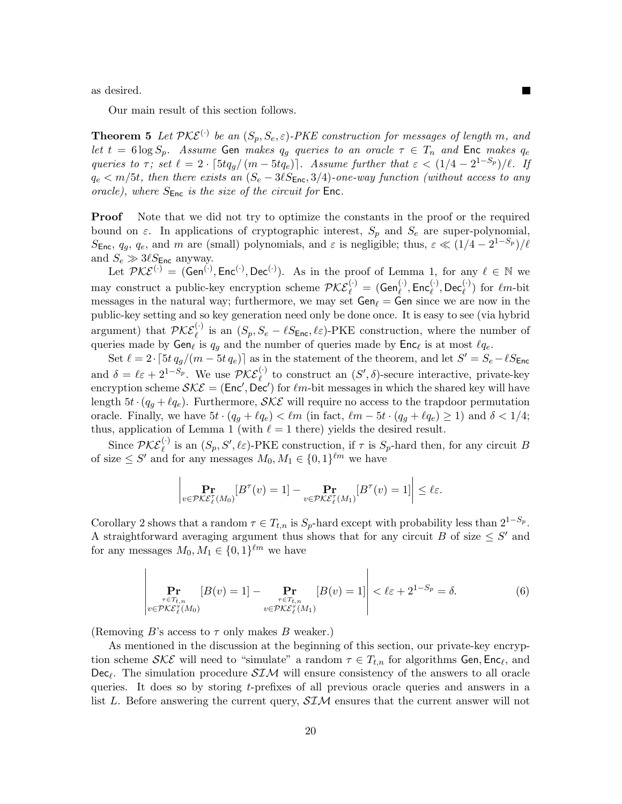as desired.

Our main result of this section follows.

**Theorem 5** Let  $\mathcal{PKE}^{(\cdot)}$  be an  $(S_p, S_e, \varepsilon)$ -PKE construction for messages of length m, and let  $t = 6 \log S_p$ . Assume Gen makes  $q_q$  queries to an oracle  $\tau \in T_n$  and Enc makes  $q_e$ queries to  $\tau$ ; set  $\ell = 2 \cdot \lceil 5tq_g/(m - 5tq_e) \rceil$ . Assume further that  $\varepsilon < (1/4 - 2^{1-S_p})/\ell$ . If  $q_e < m/5t$ , then there exists an  $(S_e - 3\ell S_{\text{Enc}}, 3/4)$ -one-way function (without access to any oracle), where  $S_{\text{Enc}}$  is the size of the circuit for  $\text{Enc}$ .

**Proof** Note that we did not try to optimize the constants in the proof or the required bound on  $\varepsilon$ . In applications of cryptographic interest,  $S_p$  and  $S_e$  are super-polynomial, S<sub>Enc</sub>,  $q_g$ ,  $q_e$ , and m are (small) polynomials, and  $\varepsilon$  is negligible; thus,  $\varepsilon \ll (1/4 - 2^{1-S_p})/\ell$ and  $S_e \gg 3\ell S_{\text{Enc}}$  anyway.

Let  $\mathcal{PKE}^{(\cdot)} = (\mathsf{Gen}^{(\cdot)}, \mathsf{Enc}^{(\cdot)}, \mathsf{Dec}^{(\cdot)})$ . As in the proof of Lemma 1, for any  $\ell \in \mathbb{N}$  we may construct a public-key encryption scheme  $\mathcal{PKE}_{\ell}^{(\cdot)} = (\mathsf{Gen}_{\ell}^{(\cdot)}, \mathsf{Enc}_{\ell}^{(\cdot)}, \mathsf{Dec}_{\ell}^{(\cdot)})$  for  $\ell m$ -bit messages in the natural way; furthermore, we may set  $Gen_\ell = Gen$  since we are now in the public-key setting and so key generation need only be done once. It is easy to see (via hybrid argument) that  $\mathcal{PKE}_{\ell}^{(.)}$  is an  $(S_p, S_e - \ell S_{\text{Enc}}, \ell \varepsilon)$ -PKE construction, where the number of queries made by  $Gen_{\ell}$  is  $q_g$  and the number of queries made by  $Enc_{\ell}$  is at most  $\ell q_e$ .

Set  $\ell = 2 \cdot [5t \, q_g/(m - 5t \, q_e)]$  as in the statement of the theorem, and let  $S' = S_e - \ell S_{\text{Enc}}$ and  $\delta = \ell \varepsilon + 2^{1-S_p}$ . We use  $\mathcal{PKE}^{(+)}_{\ell}$  to construct an  $(S', \delta)$ -secure interactive, private-key encryption scheme  $\mathcal{SKE} = (\text{Enc}', \text{Dec}')$  for  $\ell m$ -bit messages in which the shared key will have length  $5t \cdot (q_q + \ell q_e)$ . Furthermore,  $\mathcal{SKE}$  will require no access to the trapdoor permutation oracle. Finally, we have  $5t \cdot (q_q + \ell q_e) < \ell m$  (in fact,  $\ell m - 5t \cdot (q_q + \ell q_e) \ge 1$ ) and  $\delta < 1/4$ ; thus, application of Lemma 1 (with  $\ell = 1$  there) yields the desired result.

Since  $\mathcal{PKE}_{\ell}^{(\cdot)}$  is an  $(S_p, S', \ell \varepsilon)$ -PKE construction, if  $\tau$  is  $S_p$ -hard then, for any circuit B of size  $\leq S'$  and for any messages  $M_0, M_1 \in \{0, 1\}^{\ell m}$  we have

$$
\left|\Pr_{v\in\mathcal{PKE}^{\tau}_{\ell}(M_0)}[B^{\tau}(v)=1]-\Pr_{v\in\mathcal{PKE}^{\tau}_{\ell}(M_1)}[B^{\tau}(v)=1]\right|\leq \ell\varepsilon.
$$

Corollary 2 shows that a random  $\tau \in T_{t,n}$  is  $S_p$ -hard except with probability less than  $2^{1-S_p}$ . A straightforward averaging argument thus shows that for any circuit B of size  $\leq S'$  and for any messages  $M_0, M_1 \in \{0, 1\}^{\ell m}$  we have

$$
\Pr_{\substack{\tau \in T_{t,n} \\ v \in \mathcal{PKE}_{\ell}^{\tau}(M_0)}} [B(v) = 1] - \Pr_{\substack{\tau \in T_{t,n} \\ v \in \mathcal{PKE}_{\ell}^{\tau}(M_1)}} [B(v) = 1] \Bigg| < \ell \varepsilon + 2^{1 - S_p} = \delta. \tag{6}
$$

(Removing B's access to  $\tau$  only makes B weaker.)

 $\overline{\phantom{a}}$  $\mathsf{I}$  $\overline{\phantom{a}}$  $\mathsf{I}$  $\overline{\phantom{a}}$  $\mathsf{I}$  $\overline{\phantom{a}}$ 

As mentioned in the discussion at the beginning of this section, our private-key encryption scheme  $\mathcal{SKE}$  will need to "simulate" a random  $\tau \in T_{t,n}$  for algorithms Gen, Enc<sub>l</sub>, and  $\text{Dec}_{\ell}$ . The simulation procedure  $\mathcal{SIM}$  will ensure consistency of the answers to all oracle queries. It does so by storing t-prefixes of all previous oracle queries and answers in a list L. Before answering the current query,  $SIM$  ensures that the current answer will not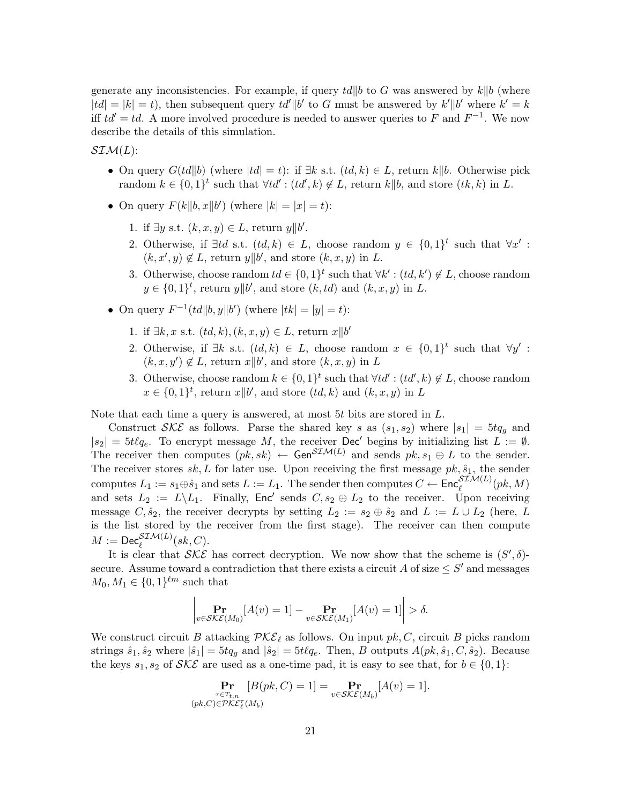generate any inconsistencies. For example, if query  $td||b$  to G was answered by  $k||b$  (where  $|td| = |k| = t$ , then subsequent query  $td' || b'$  to G must be answered by  $k' || b'$  where  $k' = k$ iff  $td' = td$ . A more involved procedure is needed to answer queries to F and  $F^{-1}$ . We now describe the details of this simulation.

 $\mathcal{SIM}(L)$ :

- On query  $G(td||b)$  (where  $|td| = t$ ): if  $\exists k$  s.t.  $(td, k) \in L$ , return k||b. Otherwise pick random  $k \in \{0,1\}^t$  such that  $\forall td': (td',k) \notin L$ , return  $k||b$ , and store  $(tk, k)$  in L.
- On query  $F(k||b, x||b')$  (where  $|k| = |x| = t$ ):
	- 1. if  $\exists y \text{ s.t. } (k, x, y) \in L$ , return  $y || b'$ .
	- 2. Otherwise, if  $\exists td$  s.t.  $(td, k) \in L$ , choose random  $y \in \{0, 1\}^t$  such that  $\forall x'$ :  $(k, x', y) \notin L$ , return  $y \parallel b'$ , and store  $(k, x, y)$  in L.
	- 3. Otherwise, choose random  $td \in \{0,1\}^t$  such that  $\forall k' : (td, k') \notin L$ , choose random  $y \in \{0,1\}^t$ , return  $y||b'$ , and store  $(k, td)$  and  $(k, x, y)$  in L.
- On query  $F^{-1}(td||b, y||b')$  (where  $|tk| = |y| = t$ ):
	- 1. if ∃k, x s.t.  $(td, k), (k, x, y) \in L$ , return  $x||b'$
	- 2. Otherwise, if  $\exists k$  s.t.  $(td, k) \in L$ , choose random  $x \in \{0, 1\}^t$  such that  $\forall y'$ :  $(k, x, y') \notin L$ , return  $x||b'$ , and store  $(k, x, y)$  in L
	- 3. Otherwise, choose random  $k \in \{0,1\}^t$  such that  $\forall td' : (td',k) \notin L$ , choose random  $x \in \{0,1\}^t$ , return  $x||b'$ , and store  $(td, k)$  and  $(k, x, y)$  in L

Note that each time a query is answered, at most 5t bits are stored in L.

Construct SKE as follows. Parse the shared key s as  $(s_1, s_2)$  where  $|s_1| = 5tq_g$  and  $|s_2| = 5t\ell q_e$ . To encrypt message M, the receiver Dec' begins by initializing list  $L := \emptyset$ . The receiver then computes  $(pk, sk) \leftarrow Gen^{\mathcal{SIM}(L)}$  and sends  $pk, s_1 \oplus L$  to the sender. The receiver stores  $sk, L$  for later use. Upon receiving the first message  $pk, \hat{s}_1$ , the sender computes  $L_1 := s_1 \oplus \hat{s}_1$  and sets  $L := L_1$ . The sender then computes  $C \leftarrow \mathsf{Enc}_{\ell}^{\mathcal{SIM}(L)}(pk, M)$ and sets  $L_2 := L \backslash L_1$ . Finally, Enc' sends  $C, s_2 \oplus L_2$  to the receiver. Upon receiving message  $C, \hat{s}_2$ , the receiver decrypts by setting  $L_2 := s_2 \oplus \hat{s}_2$  and  $L := L \cup L_2$  (here, L is the list stored by the receiver from the first stage). The receiver can then compute  $M := \mathsf{Dec}^{\mathcal{SIM}(L)}_{\ell}(sk, C).$ 

It is clear that  $\mathcal{SKE}$  has correct decryption. We now show that the scheme is  $(S', \delta)$ secure. Assume toward a contradiction that there exists a circuit A of size  $\leq S'$  and messages  $M_0, M_1 \in \{0, 1\}^{\ell m}$  such that

$$
\left| \Pr_{v \in \mathcal{SKE}(M_0)}[A(v) = 1] - \Pr_{v \in \mathcal{SKE}(M_1)}[A(v) = 1] \right| > \delta.
$$

We construct circuit B attacking  $\mathcal{PKE}_{\ell}$  as follows. On input  $pk, C$ , circuit B picks random strings  $\hat{s}_1, \hat{s}_2$  where  $|\hat{s}_1| = 5tq_g$  and  $|\hat{s}_2| = 5t\ell q_e$ . Then, B outputs  $A(pk, \hat{s}_1, C, \hat{s}_2)$ . Because the keys  $s_1, s_2$  of  $SKE$  are used as a one-time pad, it is easy to see that, for  $b \in \{0, 1\}$ :

$$
\Pr_{\substack{\tau \in T_{t,n} \\ (pk,C) \in \mathcal{PKE}_\ell^{\tau}(M_b)}}[B(pk,C) = 1] = \Pr_{v \in \mathcal{SKE}(M_b)}[A(v) = 1].
$$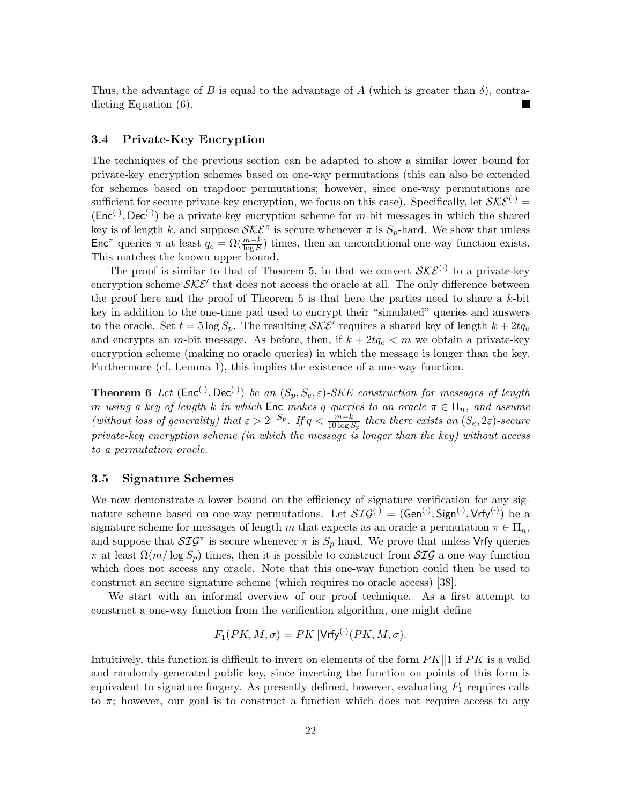Thus, the advantage of B is equal to the advantage of A (which is greater than  $\delta$ ), contradicting Equation (6).

#### 3.4 Private-Key Encryption

The techniques of the previous section can be adapted to show a similar lower bound for private-key encryption schemes based on one-way permutations (this can also be extended for schemes based on trapdoor permutations; however, since one-way permutations are sufficient for secure private-key encryption, we focus on this case). Specifically, let  $\mathcal{SKE}^{(.)}$  =  $(Enc^{(\cdot)}, Dec^{(\cdot)})$  be a private-key encryption scheme for m-bit messages in which the shared key is of length k, and suppose  $\mathcal{SKE}^{\pi}$  is secure whenever  $\pi$  is  $S_p$ -hard. We show that unless Enc<sup>π</sup> queries  $\pi$  at least  $q_e = \Omega(\frac{m-k}{\log S})$  times, then an unconditional one-way function exists. This matches the known upper bound.

The proof is similar to that of Theorem 5, in that we convert  $\mathcal{SKE}^{(\cdot)}$  to a private-key encryption scheme  $\mathcal{SKE}'$  that does not access the oracle at all. The only difference between the proof here and the proof of Theorem 5 is that here the parties need to share a  $k$ -bit key in addition to the one-time pad used to encrypt their "simulated" queries and answers to the oracle. Set  $t = 5 \log S_p$ . The resulting  $\mathcal{SKE}'$  requires a shared key of length  $k + 2tq_e$ and encrypts an m-bit message. As before, then, if  $k + 2tq_e < m$  we obtain a private-key encryption scheme (making no oracle queries) in which the message is longer than the key. Furthermore (cf. Lemma 1), this implies the existence of a one-way function.

**Theorem 6** Let  $(\text{Enc}^{(\cdot)}, \text{Dec}^{(\cdot)})$  be an  $(S_p, S_e, \varepsilon)$ -SKE construction for messages of length m using a key of length k in which  $\mathsf{Enc}\ \mathit{makes} \ q$  queries to an oracle  $\pi \in \Pi_n$ , and assume (without loss of generality) that  $\varepsilon > 2^{-S_p}$ . If  $q < \frac{m-k}{10 \log S_p}$  then there exists an  $(S_e, 2\varepsilon)$ -secure private-key encryption scheme (in which the message is longer than the key) without access to a permutation oracle.

#### 3.5 Signature Schemes

We now demonstrate a lower bound on the efficiency of signature verification for any signature scheme based on one-way permutations. Let  $\mathcal{SIG}^{(\cdot)} = (\mathsf{Gen}^{(\cdot)}, \mathsf{Sign}^{(\cdot)}, \mathsf{Vrfy}^{(\cdot)})$  be a signature scheme for messages of length m that expects as an oracle a permutation  $\pi \in \Pi_n$ , and suppose that  $\mathcal{SIG}^{\pi}$  is secure whenever  $\pi$  is  $S_p$ -hard. We prove that unless Vrfy queries  $\pi$  at least  $\Omega(m/\log S_p)$  times, then it is possible to construct from  $\mathcal{SIG}$  a one-way function which does not access any oracle. Note that this one-way function could then be used to construct an secure signature scheme (which requires no oracle access) [38].

We start with an informal overview of our proof technique. As a first attempt to construct a one-way function from the verification algorithm, one might define

$$
F_1(PK, M, \sigma) = PK || Vrfy^{(\cdot)}(PK, M, \sigma).
$$

Intuitively, this function is difficult to invert on elements of the form  $PK\parallel 1$  if PK is a valid and randomly-generated public key, since inverting the function on points of this form is equivalent to signature forgery. As presently defined, however, evaluating  $F_1$  requires calls to  $\pi$ ; however, our goal is to construct a function which does not require access to any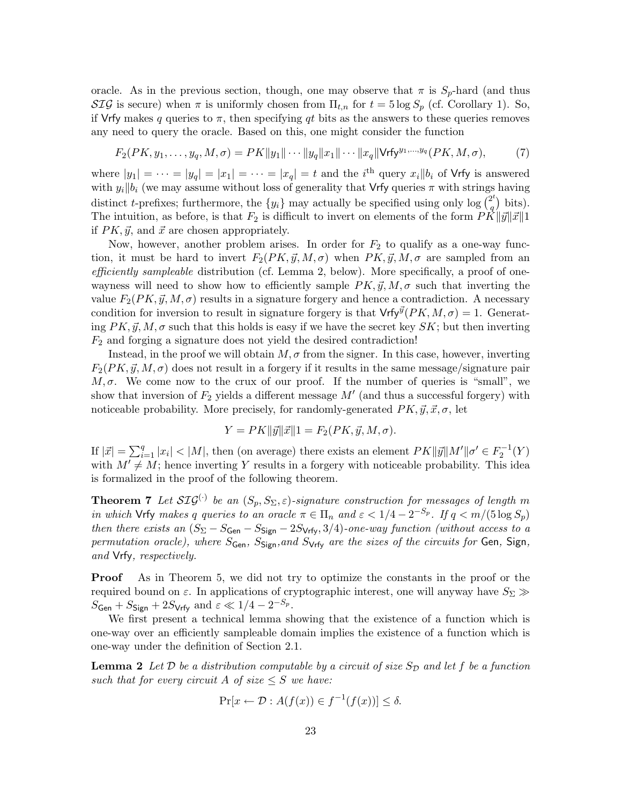oracle. As in the previous section, though, one may observe that  $\pi$  is  $S_p$ -hard (and thus SIG is secure) when  $\pi$  is uniformly chosen from  $\Pi_{t,n}$  for  $t = 5 \log S_p$  (cf. Corollary 1). So, if Vrfy makes q queries to  $\pi$ , then specifying qt bits as the answers to these queries removes any need to query the oracle. Based on this, one might consider the function

$$
F_2(PK, y_1, \dots, y_q, M, \sigma) = PK||y_1|| \cdots ||y_q||x_1|| \cdots ||x_q|| \text{Vrfy}^{y_1, \dots, y_q}(PK, M, \sigma),
$$
 (7)

where  $|y_1| = \cdots = |y_q| = |x_1| = \cdots = |x_q| = t$  and the *i*<sup>th</sup> query  $x_i || b_i$  of Vrfy is answered with  $y_i||b_i$  (we may assume without loss of generality that Vrfy queries  $\pi$  with strings having distinct t-prefixes; furthermore, the  $\{y_i\}$  may actually be specified using only log  $\binom{2^t}{q}$  $\binom{2^t}{q}$  bits). The intuition, as before, is that  $F_2$  is difficult to invert on elements of the form  $\overrightarrow{PK}||\vec{y}||\vec{x}||1$ if  $PK, \vec{y}$ , and  $\vec{x}$  are chosen appropriately.

Now, however, another problem arises. In order for  $F_2$  to qualify as a one-way function, it must be hard to invert  $F_2(PK, \vec{y}, M, \sigma)$  when  $PK, \vec{y}, M, \sigma$  are sampled from an efficiently sampleable distribution (cf. Lemma 2, below). More specifically, a proof of onewayness will need to show how to efficiently sample  $PK, \vec{y}, M, \sigma$  such that inverting the value  $F_2(PK, \vec{y}, M, \sigma)$  results in a signature forgery and hence a contradiction. A necessary condition for inversion to result in signature forgery is that  $Vrfy^{\vec{y}}(PK, M, \sigma) = 1$ . Generating  $PK, \vec{y}, M, \sigma$  such that this holds is easy if we have the secret key  $SK$ ; but then inverting  $F_2$  and forging a signature does not yield the desired contradiction!

Instead, in the proof we will obtain  $M, \sigma$  from the signer. In this case, however, inverting  $F_2(PK, \vec{y}, M, \sigma)$  does not result in a forgery if it results in the same message/signature pair  $M, \sigma$ . We come now to the crux of our proof. If the number of queries is "small", we show that inversion of  $F_2$  yields a different message  $M'$  (and thus a successful forgery) with noticeable probability. More precisely, for randomly-generated  $PK, \vec{y}, \vec{x}, \sigma$ , let

$$
Y = PK ||\vec{y}||\vec{x}||1 = F_2(PK, \vec{y}, M, \sigma).
$$

If  $|\vec{x}| = \sum_{i=1}^q |x_i| < |M|$ , then (on average) there exists an element  $PK||\vec{y}||M'||\sigma' \in F_2^{-1}(Y)$ with  $M' \neq M$ ; hence inverting Y results in a forgery with noticeable probability. This idea is formalized in the proof of the following theorem.

**Theorem 7** Let  $\mathcal{SIG}^{(\cdot)}$  be an  $(S_p, S_{\Sigma}, \varepsilon)$ -signature construction for messages of length m in which Vrfy makes q queries to an oracle  $\pi \in \Pi_n$  and  $\varepsilon < 1/4 - 2^{-S_p}$ . If  $q < m/(5 \log S_p)$ then there exists an  $(S_{\Sigma} - S_{\text{Gen}} - S_{\text{Sign}} - 2S_{\text{Vrfy}}, 3/4)$ -one-way function (without access to a permutation oracle), where  $S_{Gen}$ ,  $S_{Sign}$ , and  $S_{Vrfv}$  are the sizes of the circuits for Gen, Sign, and Vrfy, respectively.

Proof As in Theorem 5, we did not try to optimize the constants in the proof or the required bound on  $\varepsilon$ . In applications of cryptographic interest, one will anyway have  $S_{\Sigma} \gg$  $S_{\mathsf{Gen}} + S_{\mathsf{Sign}} + 2S_{\mathsf{Vrfy}} \text{ and } \varepsilon \ll 1/4 - 2^{-S_p}.$ 

We first present a technical lemma showing that the existence of a function which is one-way over an efficiently sampleable domain implies the existence of a function which is one-way under the definition of Section 2.1.

**Lemma 2** Let D be a distribution computable by a circuit of size  $S_{\mathcal{D}}$  and let f be a function such that for every circuit A of size  $\leq S$  we have:

$$
\Pr[x \leftarrow \mathcal{D} : A(f(x)) \in f^{-1}(f(x))] \le \delta.
$$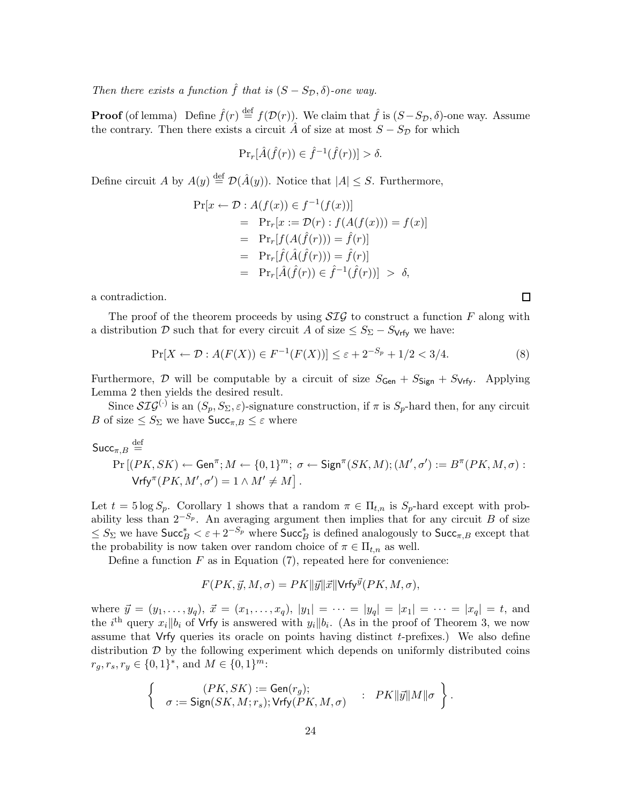Then there exists a function  $\hat{f}$  that is  $(S - S_{\mathcal{D}}, \delta)$ -one way.

**Proof** (of lemma) Define  $\hat{f}(r) \stackrel{\text{def}}{=} f(\mathcal{D}(r))$ . We claim that  $\hat{f}$  is  $(S-S_{\mathcal{D}}, \delta)$ -one way. Assume the contrary. Then there exists a circuit  $\hat{A}$  of size at most  $S - S_{\mathcal{D}}$  for which

$$
\Pr_r[\hat{A}(\hat{f}(r)) \in \hat{f}^{-1}(\hat{f}(r))] > \delta.
$$

Define circuit A by  $A(y) \stackrel{\text{def}}{=} \mathcal{D}(\hat{A}(y))$ . Notice that  $|A| \leq S$ . Furthermore,

$$
\Pr[x \leftarrow \mathcal{D} : A(f(x)) \in f^{-1}(f(x))]
$$
\n
$$
= \Pr_r[x := \mathcal{D}(r) : f(A(f(x))) = f(x)]
$$
\n
$$
= \Pr_r[f(A(\hat{f}(r))) = \hat{f}(r)]
$$
\n
$$
= \Pr_r[\hat{f}(\hat{A}(\hat{f}(r))) = \hat{f}(r)]
$$
\n
$$
= \Pr_r[\hat{A}(\hat{f}(r)) \in \hat{f}^{-1}(\hat{f}(r))] > \delta,
$$

a contradiction.

The proof of the theorem proceeds by using  $\mathcal{SIG}$  to construct a function F along with a distribution D such that for every circuit A of size  $\leq S_{\Sigma} - S_{\text{Vrfv}}$  we have:

$$
\Pr[X \leftarrow \mathcal{D} : A(F(X)) \in F^{-1}(F(X))] \le \varepsilon + 2^{-S_p} + 1/2 < 3/4. \tag{8}
$$

Furthermore, D will be computable by a circuit of size  $S_{Gen} + S_{Sign} + S_{Vrfv}$ . Applying Lemma 2 then yields the desired result.

Since  $\mathcal{SIG}^{(.)}$  is an  $(S_p, S_\Sigma, \varepsilon)$ -signature construction, if  $\pi$  is  $S_p$ -hard then, for any circuit B of size  $\leq S_{\Sigma}$  we have  $\mathsf{Succ}_{\pi,B} \leq \varepsilon$  where

$$
\begin{aligned}\n\mathsf{Succ}_{\pi,B} &\stackrel{\text{def}}{=} \\
\Pr\left[(PK, SK) \leftarrow \mathsf{Gen}^{\pi}; M \leftarrow \{0, 1\}^{m}; \ \sigma \leftarrow \mathsf{Sign}^{\pi}(SK, M); (M', \sigma') := B^{\pi}(PK, M, \sigma) : \\
\mathsf{Vrfy}^{\pi}(PK, M', \sigma') &= 1 \wedge M' \neq M\right].\n\end{aligned}
$$

Let  $t = 5 \log S_p$ . Corollary 1 shows that a random  $\pi \in \Pi_{t,n}$  is  $S_p$ -hard except with probability less than  $2^{-S_p}$ . An averaging argument then implies that for any circuit B of size  $\leq S_{\Sigma}$  we have  $\mathsf{Succ}_{B}^{*} < \varepsilon + 2^{-S_p}$  where  $\mathsf{Succ}_{B}^{*}$  is defined analogously to  $\mathsf{Succ}_{\pi,B}$  except that the probability is now taken over random choice of  $\pi \in \Pi_{t,n}$  as well.

Define a function  $F$  as in Equation (7), repeated here for convenience:

$$
F(PK, \vec{y}, M, \sigma) = PK ||\vec{y}||\vec{x}|| \text{Vrfy}^{\vec{y}}(PK, M, \sigma),
$$

where  $\vec{y} = (y_1, \ldots, y_q), \ \vec{x} = (x_1, \ldots, x_q), |y_1| = \cdots = |y_q| = |x_1| = \cdots = |x_q| = t$ , and the *i*<sup>th</sup> query  $x_i || b_i$  of Vrfy is answered with  $y_i || b_i$ . (As in the proof of Theorem 3, we now assume that Vrfy queries its oracle on points having distinct  $t$ -prefixes.) We also define distribution  $\mathcal D$  by the following experiment which depends on uniformly distributed coins  $r_g, r_s, r_y \in \{0, 1\}^*,$  and  $M \in \{0, 1\}^m$ :

$$
\left\{ \begin{array}{rcl} (PK, SK) := \mathsf{Gen}(r_g); & \quad & PK\|\vec{y}\|M\|\sigma \\ \sigma := \mathsf{Sign}(SK, M; r_s); \mathsf{Vrfy}(PK, M, \sigma) & : & PK\|\vec{y}\|M\|\sigma \end{array} \right\}.
$$

 $\Box$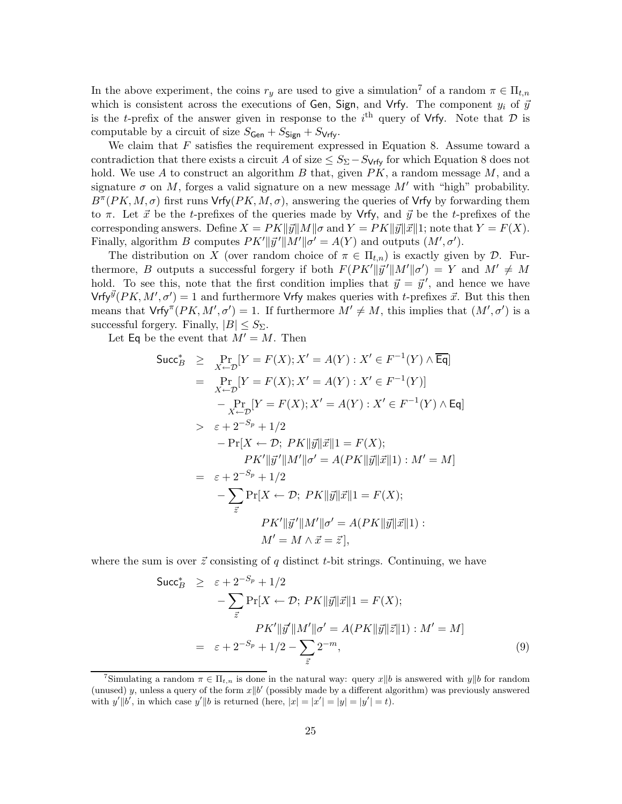In the above experiment, the coins  $r_y$  are used to give a simulation<sup>7</sup> of a random  $\pi \in \Pi_{t,n}$ which is consistent across the executions of Gen, Sign, and Vrfy. The component  $y_i$  of  $\vec{y}$ is the t-prefix of the answer given in response to the  $i<sup>th</sup>$  query of Vrfy. Note that  $D$  is computable by a circuit of size  $S_{Gen} + S_{Sign} + S_{Vrfv}$ .

We claim that  $F$  satisfies the requirement expressed in Equation 8. Assume toward a contradiction that there exists a circuit A of size  $\leq S_{\Sigma} - S_{\text{Vrfy}}$  for which Equation 8 does not hold. We use A to construct an algorithm B that, given  $PK$ , a random message  $M$ , and a signature  $\sigma$  on M, forges a valid signature on a new message M' with "high" probability.  $B^{\pi}(PK, M, \sigma)$  first runs Vrfy $(PK, M, \sigma)$ , answering the queries of Vrfy by forwarding them to  $\pi$ . Let  $\vec{x}$  be the t-prefixes of the queries made by Vrfy, and  $\vec{y}$  be the t-prefixes of the corresponding answers. Define  $X = PK||\vec{y}||M||\sigma$  and  $Y = PK||\vec{y}||\vec{x}||1$ ; note that  $Y = F(X)$ . Finally, algorithm B computes  $PK'||\vec{y}'||M'||\sigma' = A(Y)$  and outputs  $(M', \sigma')$ .

The distribution on X (over random choice of  $\pi \in \Pi_{t,n}$ ) is exactly given by D. Furthermore, B outputs a successful forgery if both  $F(PK'||\vec{y}'||M'||\sigma') = Y$  and  $M' \neq M$ hold. To see this, note that the first condition implies that  $\vec{y} = \vec{y}'$ , and hence we have Vrfy $\vec{\mathcal{Y}}(PK, M', \sigma') = 1$  and furthermore Vrfy makes queries with t-prefixes  $\vec{x}$ . But this then means that  $Vrfy^{T}(PK, M', \sigma') = 1$ . If furthermore  $M' \neq M$ , this implies that  $(M', \sigma')$  is a successful forgery. Finally,  $|B| \leq S_{\Sigma}$ .

Let Eq be the event that  $M' = M$ . Then

$$
\begin{aligned}\n\text{Succ}_{B}^{*} &\geq \Pr_{X \leftarrow \mathcal{D}}[Y = F(X); X' = A(Y) : X' \in F^{-1}(Y) \wedge \overline{\mathsf{Eq}}] \\
&= \Pr_{X \leftarrow \mathcal{D}}[Y = F(X); X' = A(Y) : X' \in F^{-1}(Y)] \\
&\quad - \Pr_{X \leftarrow \mathcal{D}}[Y = F(X); X' = A(Y) : X' \in F^{-1}(Y) \wedge \mathsf{Eq}] \\
&\geq \varepsilon + 2^{-S_p} + 1/2 \\
&\quad - \Pr[X \leftarrow \mathcal{D}; PK \| \vec{y} \| \vec{x} \| 1 = F(X); \\
&\quad PK' \| \vec{y}' \| M' \| \sigma' = A(PK \| \vec{y} \| \vec{x} \| 1) : M' = M] \\
&= \varepsilon + 2^{-S_p} + 1/2 \\
&\quad - \sum_{\vec{z}} \Pr[X \leftarrow \mathcal{D}; PK \| \vec{y} \| \vec{x} \| 1 = F(X); \\
&\quad PK' \| \vec{y}' \| M' \| \sigma' = A(PK \| \vec{y} \| \vec{x} \| 1) : \\
&\quad M' = M \wedge \vec{x} = \vec{z} \big],\n\end{aligned}
$$

where the sum is over  $\vec{z}$  consisting of q distinct t-bit strings. Continuing, we have

$$
\begin{aligned}\n\text{Succ}_{B}^{*} &\geq \varepsilon + 2^{-S_{p}} + 1/2 \\
&\quad - \sum_{\vec{z}} \Pr[X \leftarrow \mathcal{D}; \, PK \|\vec{y}\|\vec{x}\|1 = F(X); \\
&\quad P K' \|\vec{y}'\|M'\|\sigma' = A(PK \|\vec{y}\|\vec{z}\|1) : M' = M] \\
&= \varepsilon + 2^{-S_{p}} + 1/2 - \sum_{\vec{z}} 2^{-m},\n\end{aligned} \tag{9}
$$

<sup>&</sup>lt;sup>7</sup>Simulating a random  $\pi \in \Pi_{t,n}$  is done in the natural way: query  $x||b$  is answered with  $y||b$  for random (unused) y, unless a query of the form  $x||b'$  (possibly made by a different algorithm) was previously answered with  $y' \parallel b'$ , in which case  $y' \parallel b$  is returned (here,  $|x| = |x'| = |y| = |y'| = t$ ).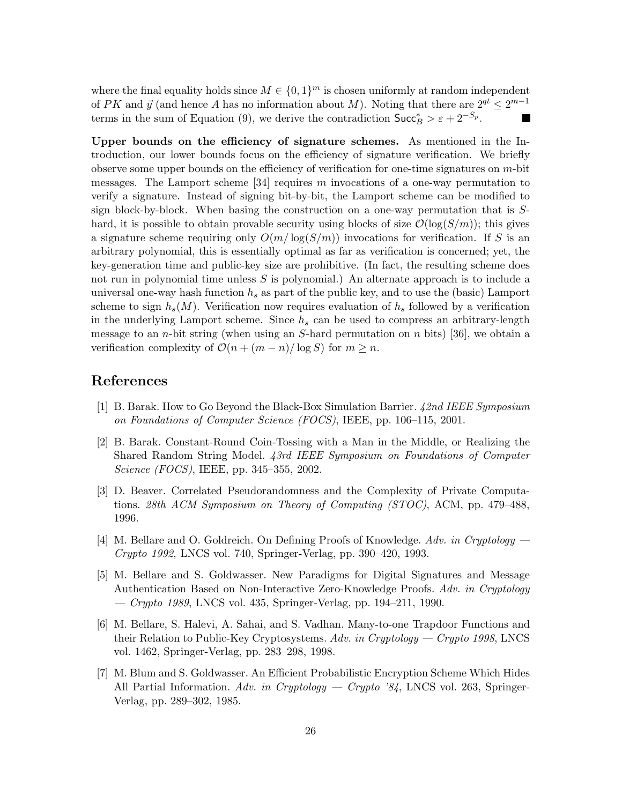where the final equality holds since  $M \in \{0,1\}^m$  is chosen uniformly at random independent of PK and  $\vec{y}$  (and hence A has no information about M). Noting that there are  $2^{qt} \leq 2^{m-1}$ terms in the sum of Equation (9), we derive the contradiction  $\text{Succ}_B^* > \varepsilon + 2^{-S_p}$ .

Upper bounds on the efficiency of signature schemes. As mentioned in the Introduction, our lower bounds focus on the efficiency of signature verification. We briefly observe some upper bounds on the efficiency of verification for one-time signatures on  $m$ -bit messages. The Lamport scheme [34] requires m invocations of a one-way permutation to verify a signature. Instead of signing bit-by-bit, the Lamport scheme can be modified to sign block-by-block. When basing the construction on a one-way permutation that is Shard, it is possible to obtain provable security using blocks of size  $\mathcal{O}(\log(S/m))$ ; this gives a signature scheme requiring only  $O(m/\log(S/m))$  invocations for verification. If S is an arbitrary polynomial, this is essentially optimal as far as verification is concerned; yet, the key-generation time and public-key size are prohibitive. (In fact, the resulting scheme does not run in polynomial time unless  $S$  is polynomial.) An alternate approach is to include a universal one-way hash function  $h_s$  as part of the public key, and to use the (basic) Lamport scheme to sign  $h_s(M)$ . Verification now requires evaluation of  $h_s$  followed by a verification in the underlying Lamport scheme. Since  $h_s$  can be used to compress an arbitrary-length message to an *n*-bit string (when using an  $S$ -hard permutation on *n* bits) [36], we obtain a verification complexity of  $\mathcal{O}(n + (m - n)/\log S)$  for  $m \geq n$ .

# References

- [1] B. Barak. How to Go Beyond the Black-Box Simulation Barrier. 42nd IEEE Symposium on Foundations of Computer Science (FOCS), IEEE, pp. 106–115, 2001.
- [2] B. Barak. Constant-Round Coin-Tossing with a Man in the Middle, or Realizing the Shared Random String Model. 43rd IEEE Symposium on Foundations of Computer Science (FOCS), IEEE, pp. 345–355, 2002.
- [3] D. Beaver. Correlated Pseudorandomness and the Complexity of Private Computations. 28th ACM Symposium on Theory of Computing (STOC), ACM, pp. 479–488, 1996.
- [4] M. Bellare and O. Goldreich. On Defining Proofs of Knowledge. Adv. in Cryptology Crypto 1992, LNCS vol. 740, Springer-Verlag, pp. 390–420, 1993.
- [5] M. Bellare and S. Goldwasser. New Paradigms for Digital Signatures and Message Authentication Based on Non-Interactive Zero-Knowledge Proofs. Adv. in Cryptology — Crypto 1989, LNCS vol. 435, Springer-Verlag, pp. 194–211, 1990.
- [6] M. Bellare, S. Halevi, A. Sahai, and S. Vadhan. Many-to-one Trapdoor Functions and their Relation to Public-Key Cryptosystems. Adv. in Cryptology — Crypto 1998, LNCS vol. 1462, Springer-Verlag, pp. 283–298, 1998.
- [7] M. Blum and S. Goldwasser. An Efficient Probabilistic Encryption Scheme Which Hides All Partial Information. Adv. in Cryptology — Crypto '84, LNCS vol. 263, Springer-Verlag, pp. 289–302, 1985.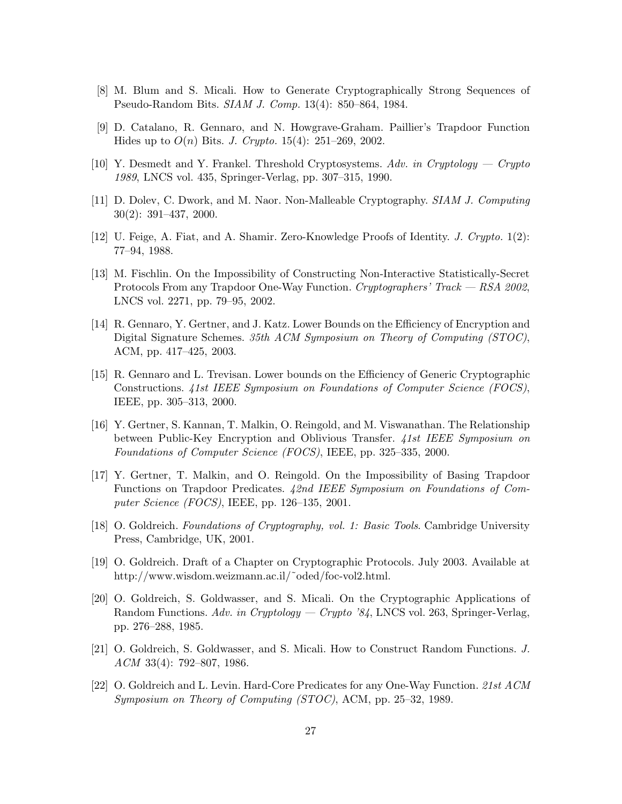- [8] M. Blum and S. Micali. How to Generate Cryptographically Strong Sequences of Pseudo-Random Bits. SIAM J. Comp. 13(4): 850–864, 1984.
- [9] D. Catalano, R. Gennaro, and N. Howgrave-Graham. Paillier's Trapdoor Function Hides up to  $O(n)$  Bits. *J. Crypto.* 15(4): 251–269, 2002.
- [10] Y. Desmedt and Y. Frankel. Threshold Cryptosystems. Adv. in Cryptology Crypto 1989, LNCS vol. 435, Springer-Verlag, pp. 307–315, 1990.
- [11] D. Dolev, C. Dwork, and M. Naor. Non-Malleable Cryptography. SIAM J. Computing 30(2): 391–437, 2000.
- [12] U. Feige, A. Fiat, and A. Shamir. Zero-Knowledge Proofs of Identity. J. Crypto. 1(2): 77–94, 1988.
- [13] M. Fischlin. On the Impossibility of Constructing Non-Interactive Statistically-Secret Protocols From any Trapdoor One-Way Function. Cryptographers' Track — RSA 2002, LNCS vol. 2271, pp. 79–95, 2002.
- [14] R. Gennaro, Y. Gertner, and J. Katz. Lower Bounds on the Efficiency of Encryption and Digital Signature Schemes. 35th ACM Symposium on Theory of Computing (STOC), ACM, pp. 417–425, 2003.
- [15] R. Gennaro and L. Trevisan. Lower bounds on the Efficiency of Generic Cryptographic Constructions. 41st IEEE Symposium on Foundations of Computer Science (FOCS), IEEE, pp. 305–313, 2000.
- [16] Y. Gertner, S. Kannan, T. Malkin, O. Reingold, and M. Viswanathan. The Relationship between Public-Key Encryption and Oblivious Transfer. 41st IEEE Symposium on Foundations of Computer Science (FOCS), IEEE, pp. 325–335, 2000.
- [17] Y. Gertner, T. Malkin, and O. Reingold. On the Impossibility of Basing Trapdoor Functions on Trapdoor Predicates. 42nd IEEE Symposium on Foundations of Computer Science (FOCS), IEEE, pp. 126–135, 2001.
- [18] O. Goldreich. Foundations of Cryptography, vol. 1: Basic Tools. Cambridge University Press, Cambridge, UK, 2001.
- [19] O. Goldreich. Draft of a Chapter on Cryptographic Protocols. July 2003. Available at http://www.wisdom.weizmann.ac.il/~oded/foc-vol2.html.
- [20] O. Goldreich, S. Goldwasser, and S. Micali. On the Cryptographic Applications of Random Functions. Adv. in Cryptology — Crypto '84, LNCS vol. 263, Springer-Verlag, pp. 276–288, 1985.
- [21] O. Goldreich, S. Goldwasser, and S. Micali. How to Construct Random Functions. J. ACM 33(4): 792–807, 1986.
- [22] O. Goldreich and L. Levin. Hard-Core Predicates for any One-Way Function. 21st ACM Symposium on Theory of Computing (STOC), ACM, pp. 25–32, 1989.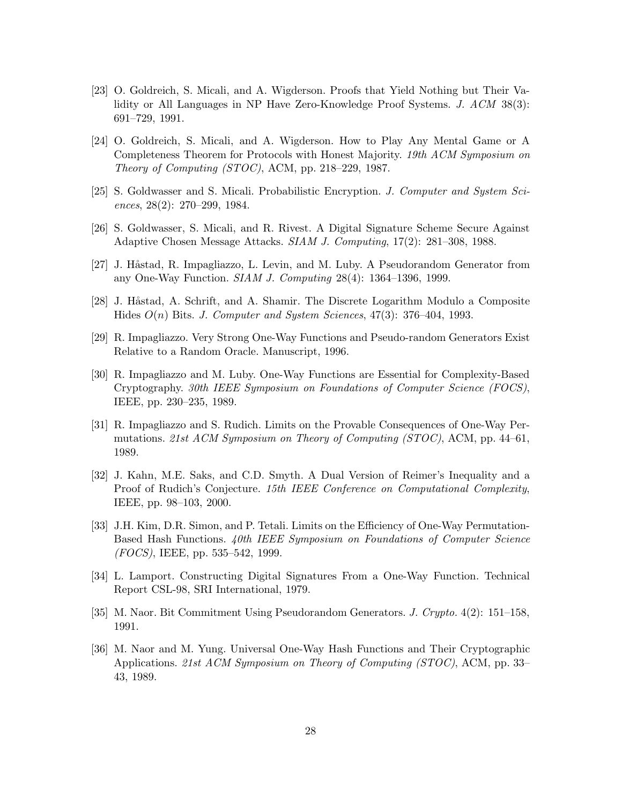- [23] O. Goldreich, S. Micali, and A. Wigderson. Proofs that Yield Nothing but Their Validity or All Languages in NP Have Zero-Knowledge Proof Systems. J. ACM 38(3): 691–729, 1991.
- [24] O. Goldreich, S. Micali, and A. Wigderson. How to Play Any Mental Game or A Completeness Theorem for Protocols with Honest Majority. 19th ACM Symposium on Theory of Computing (STOC), ACM, pp. 218–229, 1987.
- [25] S. Goldwasser and S. Micali. Probabilistic Encryption. J. Computer and System Sciences, 28(2): 270–299, 1984.
- [26] S. Goldwasser, S. Micali, and R. Rivest. A Digital Signature Scheme Secure Against Adaptive Chosen Message Attacks. SIAM J. Computing, 17(2): 281–308, 1988.
- [27] J. Håstad, R. Impagliazzo, L. Levin, and M. Luby. A Pseudorandom Generator from any One-Way Function. SIAM J. Computing 28(4): 1364–1396, 1999.
- [28] J. Håstad, A. Schrift, and A. Shamir. The Discrete Logarithm Modulo a Composite Hides  $O(n)$  Bits. J. Computer and System Sciences, 47(3): 376–404, 1993.
- [29] R. Impagliazzo. Very Strong One-Way Functions and Pseudo-random Generators Exist Relative to a Random Oracle. Manuscript, 1996.
- [30] R. Impagliazzo and M. Luby. One-Way Functions are Essential for Complexity-Based Cryptography. 30th IEEE Symposium on Foundations of Computer Science (FOCS), IEEE, pp. 230–235, 1989.
- [31] R. Impagliazzo and S. Rudich. Limits on the Provable Consequences of One-Way Permutations. 21st ACM Symposium on Theory of Computing (STOC), ACM, pp. 44–61, 1989.
- [32] J. Kahn, M.E. Saks, and C.D. Smyth. A Dual Version of Reimer's Inequality and a Proof of Rudich's Conjecture. 15th IEEE Conference on Computational Complexity, IEEE, pp. 98–103, 2000.
- [33] J.H. Kim, D.R. Simon, and P. Tetali. Limits on the Efficiency of One-Way Permutation-Based Hash Functions. 40th IEEE Symposium on Foundations of Computer Science (FOCS), IEEE, pp. 535–542, 1999.
- [34] L. Lamport. Constructing Digital Signatures From a One-Way Function. Technical Report CSL-98, SRI International, 1979.
- [35] M. Naor. Bit Commitment Using Pseudorandom Generators. J. Crypto. 4(2): 151–158, 1991.
- [36] M. Naor and M. Yung. Universal One-Way Hash Functions and Their Cryptographic Applications. 21st ACM Symposium on Theory of Computing (STOC), ACM, pp. 33– 43, 1989.